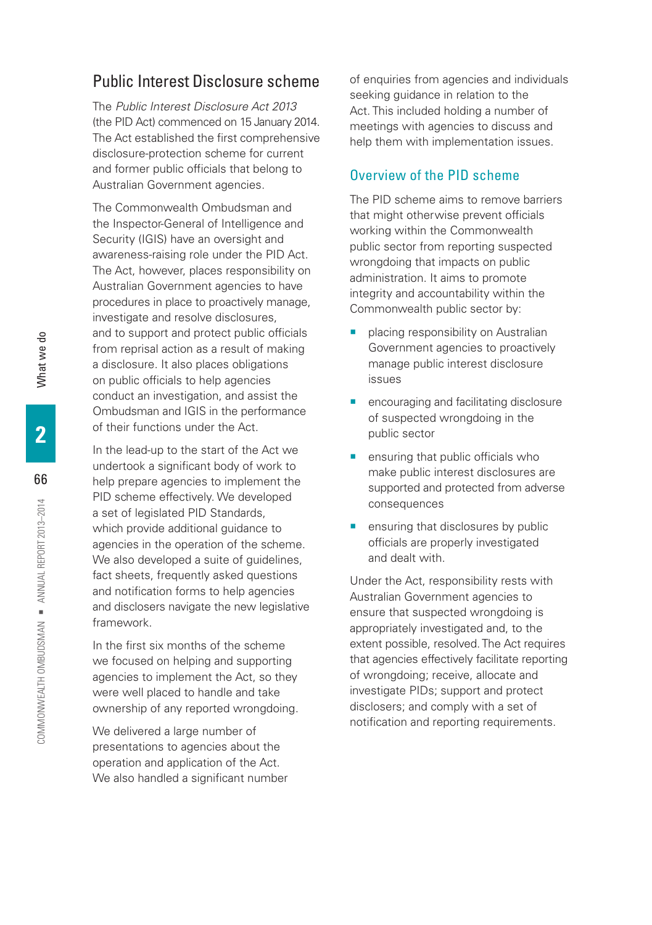# Public Interest Disclosure scheme

The *Public Interest Disclosure Act 2013* (the PID Act) commenced on 15 January 2014. The Act established the first comprehensive disclosure-protection scheme for current and former public officials that belong to Australian Government agencies.

The Commonwealth Ombudsman and the Inspector-General of Intelligence and Security (IGIS) have an oversight and awareness-raising role under the PID Act. The Act, however, places responsibility on Australian Government agencies to have procedures in place to proactively manage, investigate and resolve disclosures, and to support and protect public officials from reprisal action as a result of making a disclosure. It also places obligations on public officials to help agencies conduct an investigation, and assist the Ombudsman and IGIS in the performance of their functions under the Act.

In the lead-up to the start of the Act we undertook a significant body of work to help prepare agencies to implement the PID scheme effectively. We developed a set of legislated PID Standards, which provide additional guidance to agencies in the operation of the scheme. We also developed a suite of guidelines, fact sheets, frequently asked questions and notification forms to help agencies and disclosers navigate the new legislative framework.

In the first six months of the scheme we focused on helping and supporting agencies to implement the Act, so they were well placed to handle and take ownership of any reported wrongdoing.

We delivered a large number of presentations to agencies about the operation and application of the Act. We also handled a significant number of enquiries from agencies and individuals seeking guidance in relation to the Act. This included holding a number of meetings with agencies to discuss and help them with implementation issues.

# Overview of the PID scheme

The PID scheme aims to remove barriers that might otherwise prevent officials working within the Commonwealth public sector from reporting suspected wrongdoing that impacts on public administration. It aims to promote integrity and accountability within the Commonwealth public sector by:

- placing responsibility on Australian Government agencies to proactively manage public interest disclosure issues
- encouraging and facilitating disclosure of suspected wrongdoing in the public sector
- ensuring that public officials who make public interest disclosures are supported and protected from adverse consequences
- **E** ensuring that disclosures by public officials are properly investigated and dealt with.

Under the Act, responsibility rests with Australian Government agencies to ensure that suspected wrongdoing is appropriately investigated and, to the extent possible, resolved. The Act requires that agencies effectively facilitate reporting of wrongdoing; receive, allocate and investigate PIDs; support and protect disclosers; and comply with a set of notification and reporting requirements.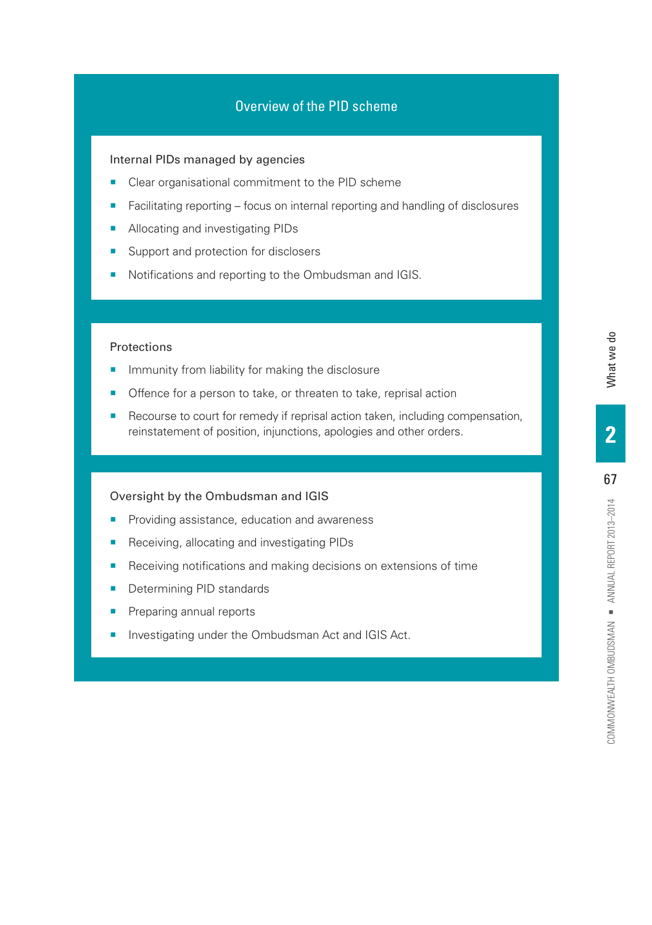# Overview of the PID scheme

## Internal PIDs managed by agencies

- Clear organisational commitment to the PID scheme
- Facilitating reporting focus on internal reporting and handling of disclosures
- Allocating and investigating PIDs
- Support and protection for disclosers
- Notifications and reporting to the Ombudsman and IGIS.

## Protections

- **IF Immunity from liability for making the disclosure**
- Offence for a person to take, or threaten to take, reprisal action
- Recourse to court for remedy if reprisal action taken, including compensation, reinstatement of position, injunctions, apologies and other orders.

#### Oversight by the Ombudsman and IGIS

- **•** Providing assistance, education and awareness
- Receiving, allocating and investigating PIDs
- **EXEC** Receiving notifications and making decisions on extensions of time
- Determining PID standards
- Preparing annual reports
- Investigating under the Ombudsman Act and IGIS Act.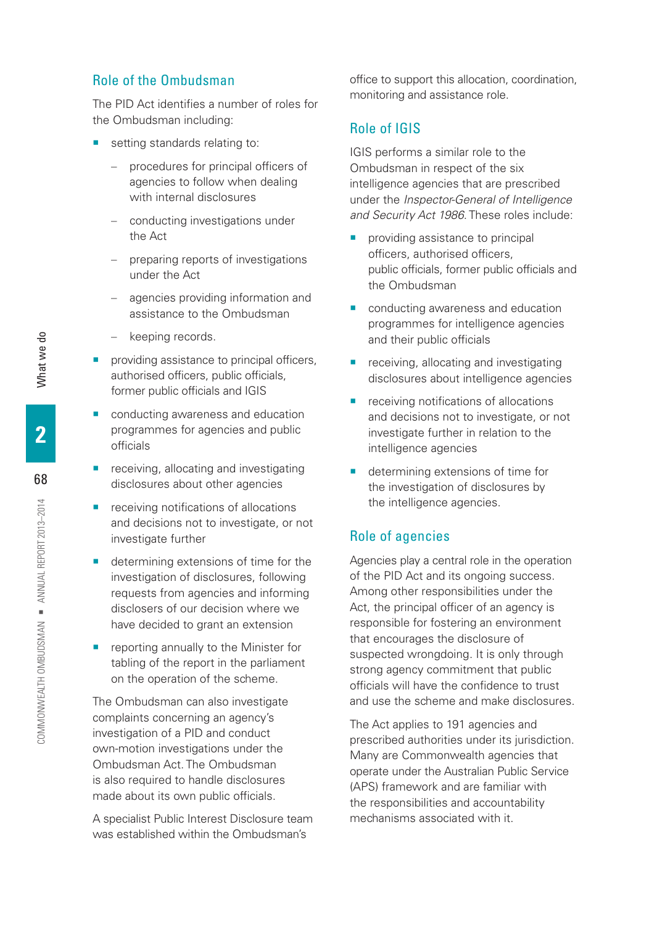# Role of the Ombudsman

The PID Act identifies a number of roles for the Ombudsman including:

- setting standards relating to:
	- procedures for principal officers of agencies to follow when dealing with internal disclosures
	- conducting investigations under the Act
	- preparing reports of investigations under the Act
	- agencies providing information and assistance to the Ombudsman
	- keeping records.
- providing assistance to principal officers, authorised officers, public officials, former public officials and IGIS
- conducting awareness and education programmes for agencies and public officials
- receiving, allocating and investigating disclosures about other agencies
- receiving notifications of allocations and decisions not to investigate, or not investigate further
- determining extensions of time for the investigation of disclosures, following requests from agencies and informing disclosers of our decision where we have decided to grant an extension
- reporting annually to the Minister for tabling of the report in the parliament on the operation of the scheme.

The Ombudsman can also investigate complaints concerning an agency's investigation of a PID and conduct own-motion investigations under the Ombudsman Act. The Ombudsman is also required to handle disclosures made about its own public officials.

A specialist Public Interest Disclosure team was established within the Ombudsman's

office to support this allocation, coordination, monitoring and assistance role.

# Role of IGIS

IGIS performs a similar role to the Ombudsman in respect of the six intelligence agencies that are prescribed under the *Inspector-General of Intelligence and Security Act 1986*. These roles include:

- providing assistance to principal officers, authorised officers, public officials, former public officials and the Ombudsman
- conducting awareness and education programmes for intelligence agencies and their public officials
- receiving, allocating and investigating disclosures about intelligence agencies
- receiving notifications of allocations and decisions not to investigate, or not investigate further in relation to the intelligence agencies
- determining extensions of time for the investigation of disclosures by the intelligence agencies.

# Role of agencies

Agencies play a central role in the operation of the PID Act and its ongoing success. Among other responsibilities under the Act, the principal officer of an agency is responsible for fostering an environment that encourages the disclosure of suspected wrongdoing. It is only through strong agency commitment that public officials will have the confidence to trust and use the scheme and make disclosures.

The Act applies to 191 agencies and prescribed authorities under its jurisdiction. Many are Commonwealth agencies that operate under the Australian Public Service (APS) framework and are familiar with the responsibilities and accountability mechanisms associated with it.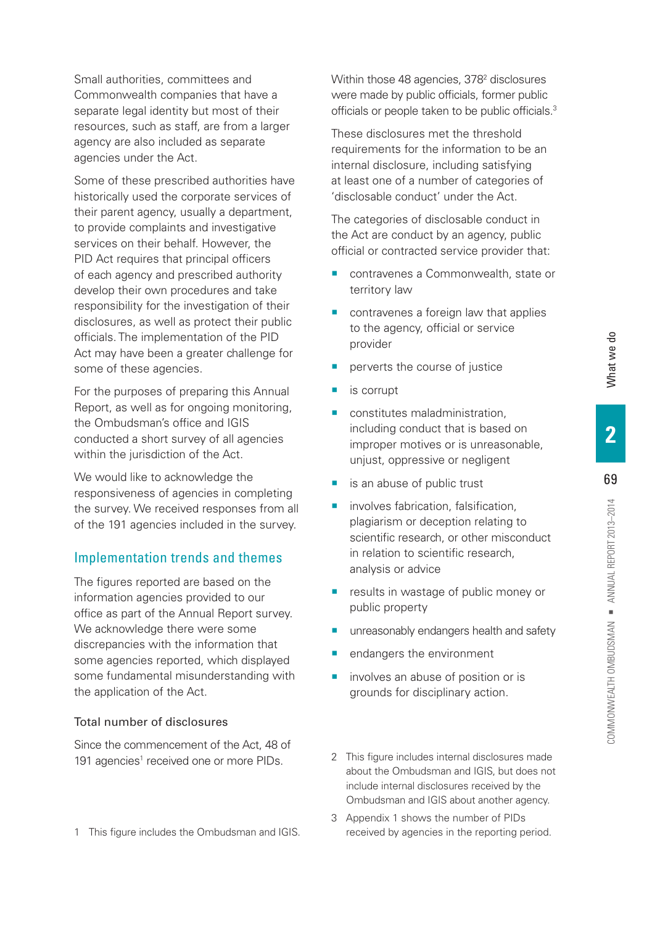69

COMMONWEALTH OMBUDSMAN = ANNUAL REPORT 2013-2014

Small authorities, committees and Commonwealth companies that have a separate legal identity but most of their resources, such as staff, are from a larger agency are also included as separate agencies under the Act.

Some of these prescribed authorities have historically used the corporate services of their parent agency, usually a department, to provide complaints and investigative services on their behalf. However, the PID Act requires that principal officers of each agency and prescribed authority develop their own procedures and take responsibility for the investigation of their disclosures, as well as protect their public officials. The implementation of the PID Act may have been a greater challenge for some of these agencies.

For the purposes of preparing this Annual Report, as well as for ongoing monitoring, the Ombudsman's office and IGIS conducted a short survey of all agencies within the jurisdiction of the Act.

We would like to acknowledge the responsiveness of agencies in completing the survey. We received responses from all of the 191 agencies included in the survey.

## Implementation trends and themes

The figures reported are based on the information agencies provided to our office as part of the Annual Report survey. We acknowledge there were some discrepancies with the information that some agencies reported, which displayed some fundamental misunderstanding with the application of the Act.

#### Total number of disclosures

Since the commencement of the Act, 48 of 191 agencies<sup>1</sup> received one or more PIDs.

1 This figure includes the Ombudsman and IGIS.

Within those 48 agencies, 378<sup>2</sup> disclosures were made by public officials, former public officials or people taken to be public officials.3

These disclosures met the threshold requirements for the information to be an internal disclosure, including satisfying at least one of a number of categories of 'disclosable conduct' under the Act.

The categories of disclosable conduct in the Act are conduct by an agency, public official or contracted service provider that:

- contravenes a Commonwealth, state or territory law
- contravenes a foreign law that applies to the agency, official or service provider
- perverts the course of justice
- is corrupt
- constitutes maladministration. including conduct that is based on improper motives or is unreasonable, unjust, oppressive or negligent
- is an abuse of public trust
- involves fabrication, falsification. plagiarism or deception relating to scientific research, or other misconduct in relation to scientific research, analysis or advice
- **EXT** results in wastage of public money or public property
- unreasonably endangers health and safety
- endangers the environment
- **u** involves an abuse of position or is grounds for disciplinary action.
- 2 This figure includes internal disclosures made about the Ombudsman and IGIS, but does not include internal disclosures received by the Ombudsman and IGIS about another agency.
- 3 Appendix 1 shows the number of PIDs received by agencies in the reporting period.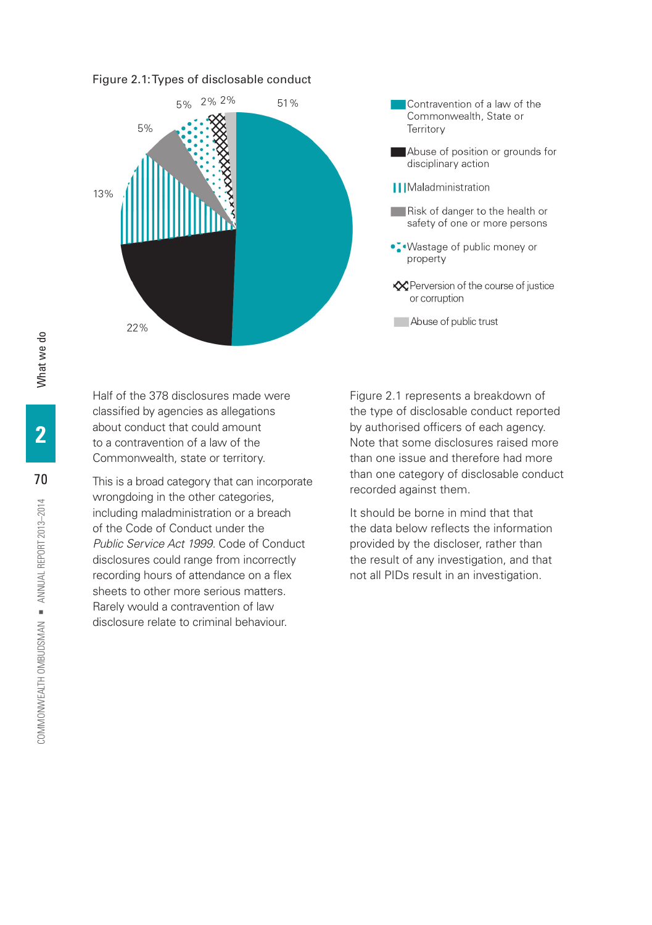#### Figure 2.1: Types of disclosable conduct



Contravention of a law of the Commonwealth, State or Territory Abuse of position or grounds for disciplinary action || | Maladministration Risk of danger to the health or safety of one or more persons •. Wastage of public money or property **EX** Perversion of the course of justice or corruption Abuse of public trust

Half of the 378 disclosures made were Figure 2.1 represents a breakdown of

including maladministration or a breach It should be borne in mind that that of the Code of Conduct under the the data below reflects the information *Public Service Act 1999.* Code of Conduct provided by the discloser, rather than disclosures could range from incorrectly the result of any investigation, and that recording hours of attendance on a flex not all PIDs result in an investigation. sheets to other more serious matters. Rarely would a contravention of law disclosure relate to criminal behaviour.

classified by agencies as allegations the type of disclosable conduct reported about conduct that could amount by authorised officers of each agency. to a contravention of a law of the Note that some disclosures raised more Commonwealth, state or territory. Than one issue and therefore had more This is a broad category that can incorporate than one category of disclosable conduct<br>wrongdoing in the other categories,<br> $\frac{1}{2}$  recorded against them.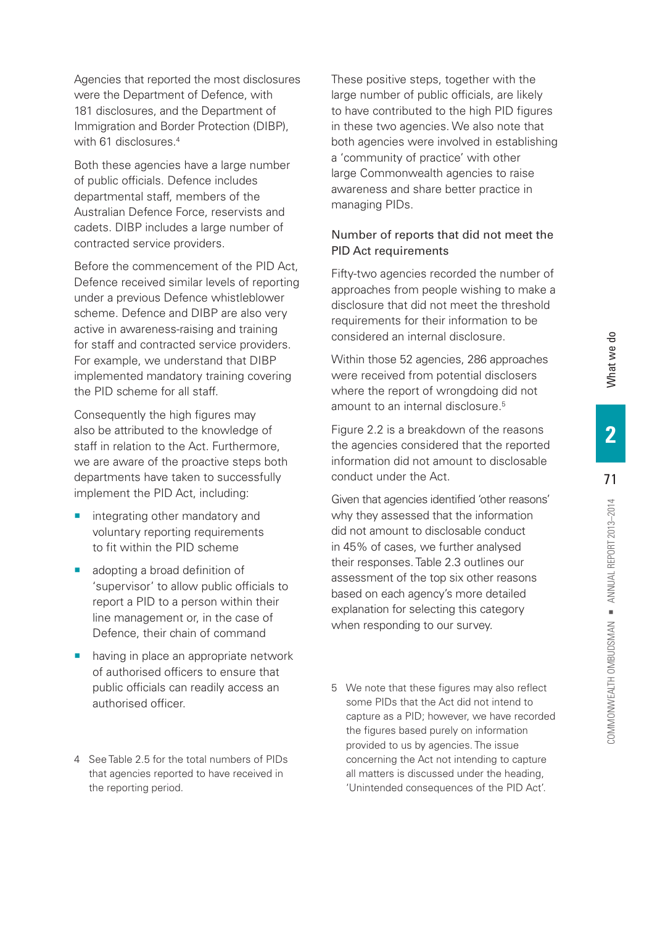Agencies that reported the most disclosures were the Department of Defence, with 181 disclosures, and the Department of Immigration and Border Protection (DIBP), with 61 disclosures.<sup>4</sup> Both these agencies have a large number

of public officials. Defence includes departmental staff, members of the Australian Defence Force, reservists and cadets. DIBP includes a large number of contracted service providers.

Before the commencement of the PID Act, Defence received similar levels of reporting under a previous Defence whistleblower scheme. Defence and DIBP are also very active in awareness-raising and training for staff and contracted service providers. For example, we understand that DIBP implemented mandatory training covering the PID scheme for all staff.

Consequently the high figures may also be attributed to the knowledge of staff in relation to the Act. Furthermore, we are aware of the proactive steps both departments have taken to successfully implement the PID Act, including:

- integrating other mandatory and voluntary reporting requirements to fit within the PID scheme
- adopting a broad definition of 'supervisor' to allow public officials to report a PID to a person within their line management or, in the case of Defence, their chain of command
- having in place an appropriate network of authorised officers to ensure that public officials can readily access an authorised officer.
- 4 See Table 2.5 for the total numbers of PIDs that agencies reported to have received in the reporting period.

These positive steps, together with the large number of public officials, are likely to have contributed to the high PID figures in these two agencies. We also note that both agencies were involved in establishing a 'community of practice' with other large Commonwealth agencies to raise awareness and share better practice in managing PIDs.

# Number of reports that did not meet the PID Act requirements

Fifty-two agencies recorded the number of approaches from people wishing to make a disclosure that did not meet the threshold requirements for their information to be considered an internal disclosure.

Within those 52 agencies, 286 approaches were received from potential disclosers where the report of wrongdoing did not amount to an internal disclosure.<sup>5</sup>

Figure 2.2 is a breakdown of the reasons the agencies considered that the reported information did not amount to disclosable conduct under the Act.

Given that agencies identified 'other reasons' why they assessed that the information did not amount to disclosable conduct in 45% of cases, we further analysed their responses. Table 2.3 outlines our assessment of the top six other reasons based on each agency's more detailed explanation for selecting this category when responding to our survey.

5 We note that these figures may also reflect some PIDs that the Act did not intend to capture as a PID; however, we have recorded the figures based purely on information provided to us by agencies. The issue concerning the Act not intending to capture all matters is discussed under the heading, 'Unintended consequences of the PID Act'.

What we do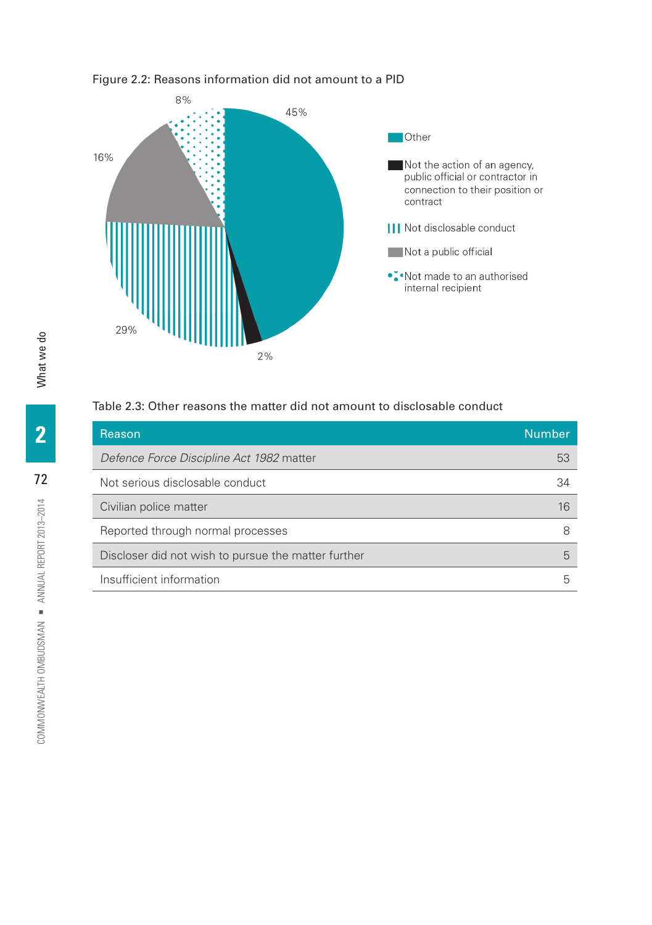

## Figure 2.2: Reasons information did not amount to a PID

# Table 2.3: Other reasons the matter did not amount to disclosable conduct

| Reason                                              | <b>Number</b> |
|-----------------------------------------------------|---------------|
| Defence Force Discipline Act 1982 matter            | 53            |
| Not serious disclosable conduct                     | 34            |
| Civilian police matter                              | 16            |
| Reported through normal processes                   | 8             |
| Discloser did not wish to pursue the matter further | 5             |
| Insufficient information                            | h             |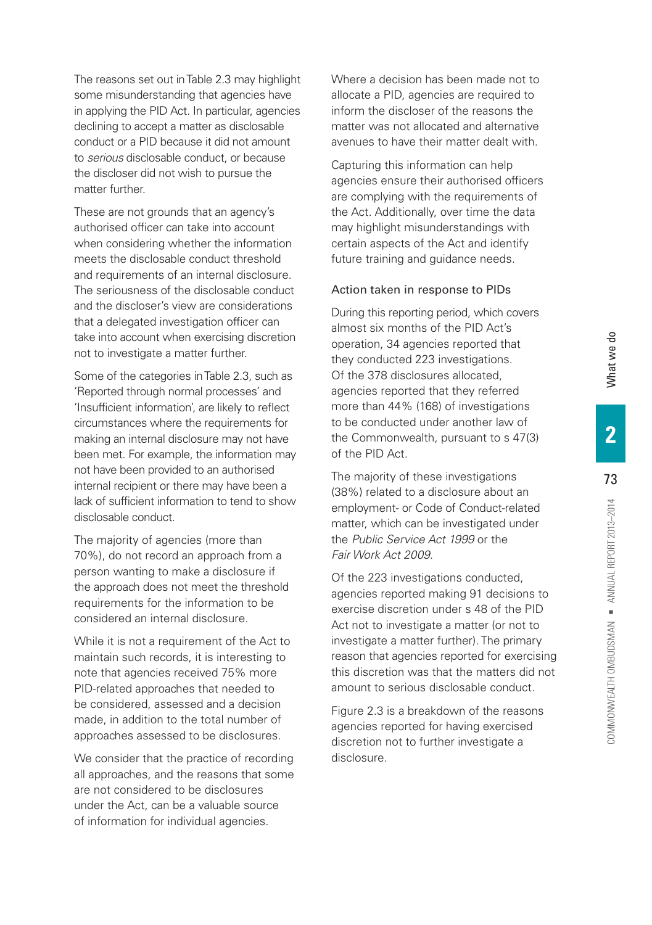The reasons set out in Table 2.3 may highlight some misunderstanding that agencies have in applying the PID Act. In particular, agencies declining to accept a matter as disclosable conduct or a PID because it did not amount to *serious* disclosable conduct, or because the discloser did not wish to pursue the matter further.

These are not grounds that an agency's authorised officer can take into account when considering whether the information meets the disclosable conduct threshold and requirements of an internal disclosure. The seriousness of the disclosable conduct and the discloser's view are considerations that a delegated investigation officer can take into account when exercising discretion not to investigate a matter further.

Some of the categories in Table 2.3, such as 'Reported through normal processes' and 'Insufficient information', are likely to reflect circumstances where the requirements for making an internal disclosure may not have been met. For example, the information may not have been provided to an authorised internal recipient or there may have been a lack of sufficient information to tend to show disclosable conduct.

The majority of agencies (more than 70%), do not record an approach from a person wanting to make a disclosure if the approach does not meet the threshold requirements for the information to be considered an internal disclosure.

While it is not a requirement of the Act to maintain such records, it is interesting to note that agencies received 75% more PID-related approaches that needed to be considered, assessed and a decision made, in addition to the total number of approaches assessed to be disclosures.

We consider that the practice of recording all approaches, and the reasons that some are not considered to be disclosures under the Act, can be a valuable source of information for individual agencies.

Where a decision has been made not to allocate a PID, agencies are required to inform the discloser of the reasons the matter was not allocated and alternative avenues to have their matter dealt with.

Capturing this information can help agencies ensure their authorised officers are complying with the requirements of the Act. Additionally, over time the data may highlight misunderstandings with certain aspects of the Act and identify future training and guidance needs.

#### Action taken in response to PIDs

During this reporting period, which covers almost six months of the PID Act's operation, 34 agencies reported that they conducted 223 investigations. Of the 378 disclosures allocated, agencies reported that they referred more than 44% (168) of investigations to be conducted under another law of the Commonwealth, pursuant to s 47(3) of the PID Act.

The majority of these investigations (38%) related to a disclosure about an employment- or Code of Conduct-related matter, which can be investigated under the *Public Service Act 1999* or the *Fair Work Act 2009.*

Of the 223 investigations conducted, agencies reported making 91 decisions to exercise discretion under s 48 of the PID Act not to investigate a matter (or not to investigate a matter further). The primary reason that agencies reported for exercising this discretion was that the matters did not amount to serious disclosable conduct.

Figure 2.3 is a breakdown of the reasons agencies reported for having exercised discretion not to further investigate a disclosure.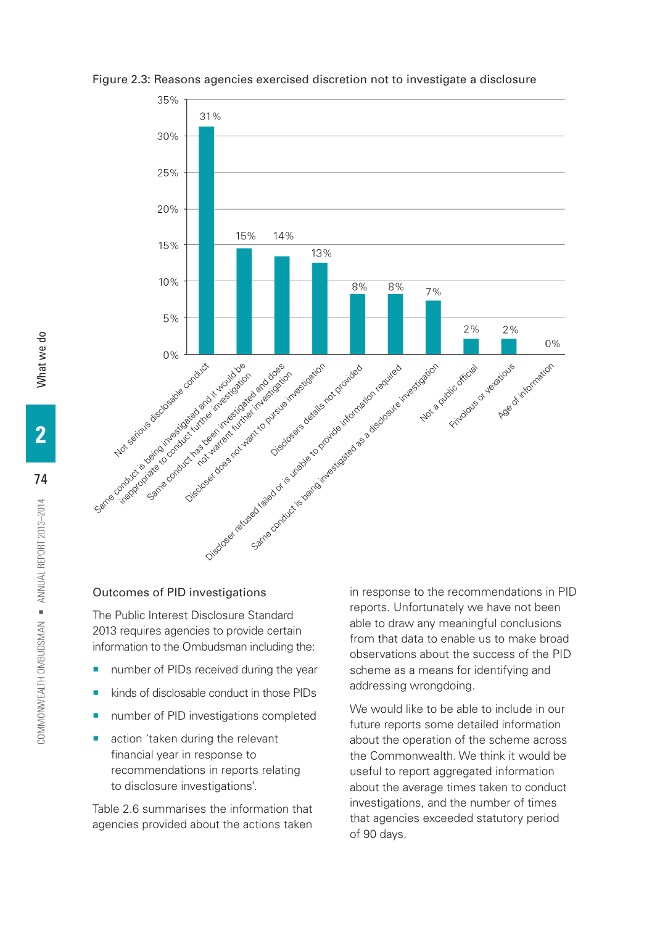

Figure 2.3: Reasons agencies exercised discretion not to investigate a disclosure

#### Outcomes of PID investigations

The Public Interest Disclosure Standard 2013 requires agencies to provide certain information to the Ombudsman including the:

- number of PIDs received during the year
- kinds of disclosable conduct in those PIDs
- number of PID investigations completed
- action 'taken during the relevant financial year in response to recommendations in reports relating to disclosure investigations'.

Table 2.6 summarises the information that agencies provided about the actions taken

reports. Unfortunately we have not been able to draw any meaningful conclusions from that data to enable us to make broad observations about the success of the PID scheme as a means for identifying and addressing wrongdoing.

We would like to be able to include in our future reports some detailed information about the operation of the scheme across the Commonwealth. We think it would be useful to report aggregated information about the average times taken to conduct investigations, and the number of times that agencies exceeded statutory period of 90 days.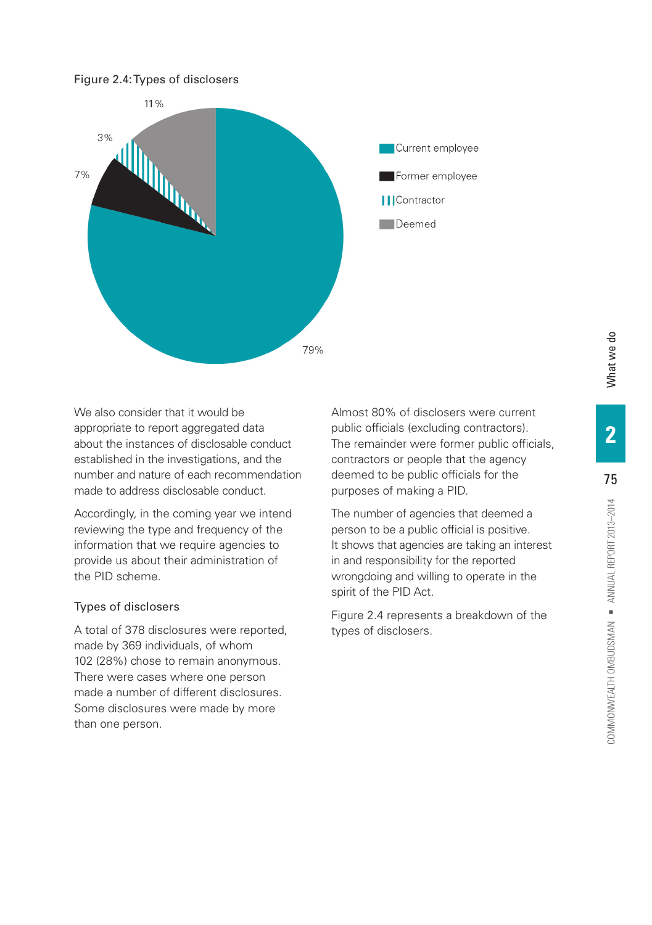

We also consider that it would be  $\qquad \qquad \text{Almost 80\% of discloses were current}$ appropriate to report aggregated data public officials (excluding contractors). about the instances of disclosable conduct The remainder were former public officials, established in the investigations, and the contractors or people that the agency number and nature of each recommendation deemed to be public officials for the made to address disclosable conduct. purposes of making a PID.

Accordingly, in the coming year we intend The number of agencies that deemed a reviewing the type and frequency of the person to be a public official is positive. provide us about their administration of in and responsibility for the reported the PID scheme. wrongdoing and willing to operate in the

A total of 378 disclosures were reported, types of disclosers. made by 369 individuals, of whom 102 (28%) chose to remain anonymous. There were cases where one person made a number of different disclosures. Some disclosures were made by more than one person.

information that we require agencies to It shows that agencies are taking an interest spirit of the PID Act.

Types of disclosers Types of disclosers Figure 2.4 represents a breakdown of the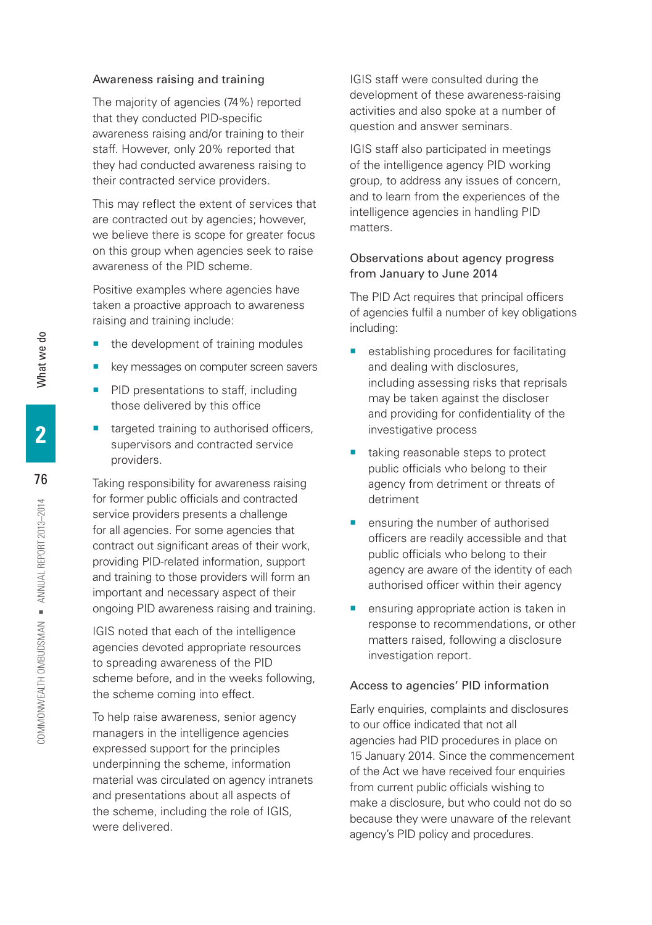#### Awareness raising and training

The majority of agencies (74%) reported that they conducted PID-specific awareness raising and/or training to their staff. However, only 20% reported that they had conducted awareness raising to their contracted service providers.

This may reflect the extent of services that are contracted out by agencies; however, we believe there is scope for greater focus on this group when agencies seek to raise awareness of the PID scheme.

Positive examples where agencies have taken a proactive approach to awareness raising and training include:

- the development of training modules
- key messages on computer screen savers
- **PID presentations to staff, including** those delivered by this office
- targeted training to authorised officers, supervisors and contracted service providers.

Taking responsibility for awareness raising for former public officials and contracted service providers presents a challenge for all agencies. For some agencies that contract out significant areas of their work, providing PID-related information, support and training to those providers will form an important and necessary aspect of their ongoing PID awareness raising and training.

IGIS noted that each of the intelligence agencies devoted appropriate resources to spreading awareness of the PID scheme before, and in the weeks following, the scheme coming into effect.

To help raise awareness, senior agency managers in the intelligence agencies expressed support for the principles underpinning the scheme, information material was circulated on agency intranets and presentations about all aspects of the scheme, including the role of IGIS, were delivered.

IGIS staff were consulted during the development of these awareness-raising activities and also spoke at a number of question and answer seminars.

IGIS staff also participated in meetings of the intelligence agency PID working group, to address any issues of concern, and to learn from the experiences of the intelligence agencies in handling PID matters.

#### Observations about agency progress from January to June 2014

The PID Act requires that principal officers of agencies fulfil a number of key obligations including:

- establishing procedures for facilitating and dealing with disclosures, including assessing risks that reprisals may be taken against the discloser and providing for confidentiality of the investigative process
- taking reasonable steps to protect public officials who belong to their agency from detriment or threats of detriment
- **•** ensuring the number of authorised officers are readily accessible and that public officials who belong to their agency are aware of the identity of each authorised officer within their agency
- **E** ensuring appropriate action is taken in response to recommendations, or other matters raised, following a disclosure investigation report.

#### Access to agencies' PID information

Early enquiries, complaints and disclosures to our office indicated that not all agencies had PID procedures in place on 15 January 2014. Since the commencement of the Act we have received four enquiries from current public officials wishing to make a disclosure, but who could not do so because they were unaware of the relevant agency's PID policy and procedures.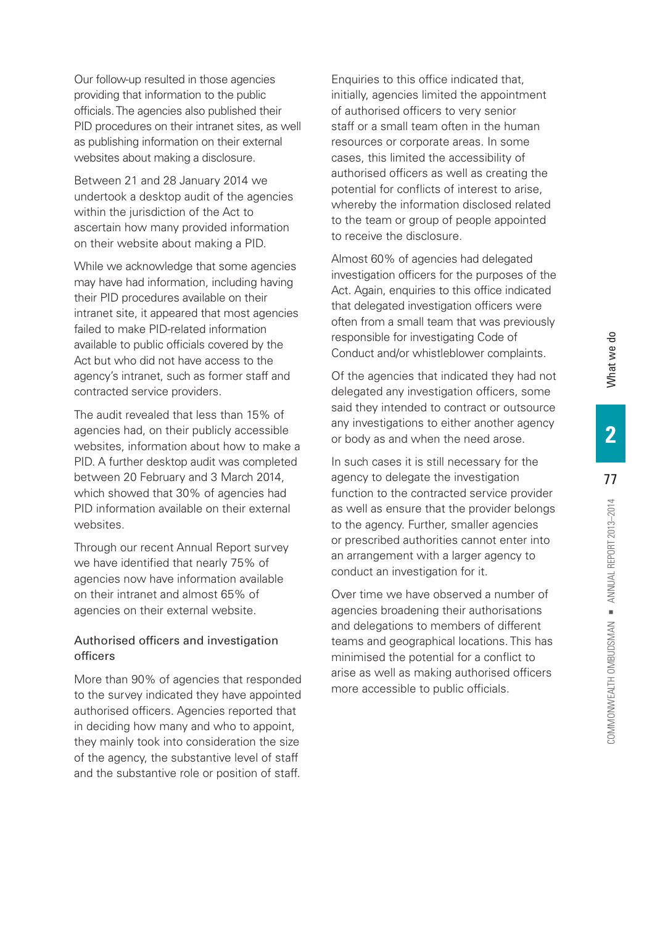Our follow-up resulted in those agencies providing that information to the public officials. The agencies also published their PID procedures on their intranet sites, as well as publishing information on their external websites about making a disclosure.

Between 21 and 28 January 2014 we undertook a desktop audit of the agencies within the jurisdiction of the Act to ascertain how many provided information on their website about making a PID.

While we acknowledge that some agencies may have had information, including having their PID procedures available on their intranet site, it appeared that most agencies failed to make PID-related information available to public officials covered by the Act but who did not have access to the agency's intranet, such as former staff and contracted service providers.

The audit revealed that less than 15% of agencies had, on their publicly accessible websites, information about how to make a PID. A further desktop audit was completed between 20 February and 3 March 2014, which showed that 30% of agencies had PID information available on their external websites.

Through our recent Annual Report survey we have identified that nearly 75% of agencies now have information available on their intranet and almost 65% of agencies on their external website.

## Authorised officers and investigation officers

More than 90% of agencies that responded to the survey indicated they have appointed authorised officers. Agencies reported that in deciding how many and who to appoint, they mainly took into consideration the size of the agency, the substantive level of staff and the substantive role or position of staff.

Enquiries to this office indicated that, initially, agencies limited the appointment of authorised officers to very senior staff or a small team often in the human resources or corporate areas. In some cases, this limited the accessibility of authorised officers as well as creating the potential for conflicts of interest to arise, whereby the information disclosed related to the team or group of people appointed to receive the disclosure.

Almost 60% of agencies had delegated investigation officers for the purposes of the Act. Again, enquiries to this office indicated that delegated investigation officers were often from a small team that was previously responsible for investigating Code of Conduct and/or whistleblower complaints.

Of the agencies that indicated they had not delegated any investigation officers, some said they intended to contract or outsource any investigations to either another agency or body as and when the need arose.

In such cases it is still necessary for the agency to delegate the investigation function to the contracted service provider as well as ensure that the provider belongs to the agency. Further, smaller agencies or prescribed authorities cannot enter into an arrangement with a larger agency to conduct an investigation for it.

Over time we have observed a number of agencies broadening their authorisations and delegations to members of different teams and geographical locations. This has minimised the potential for a conflict to arise as well as making authorised officers more accessible to public officials.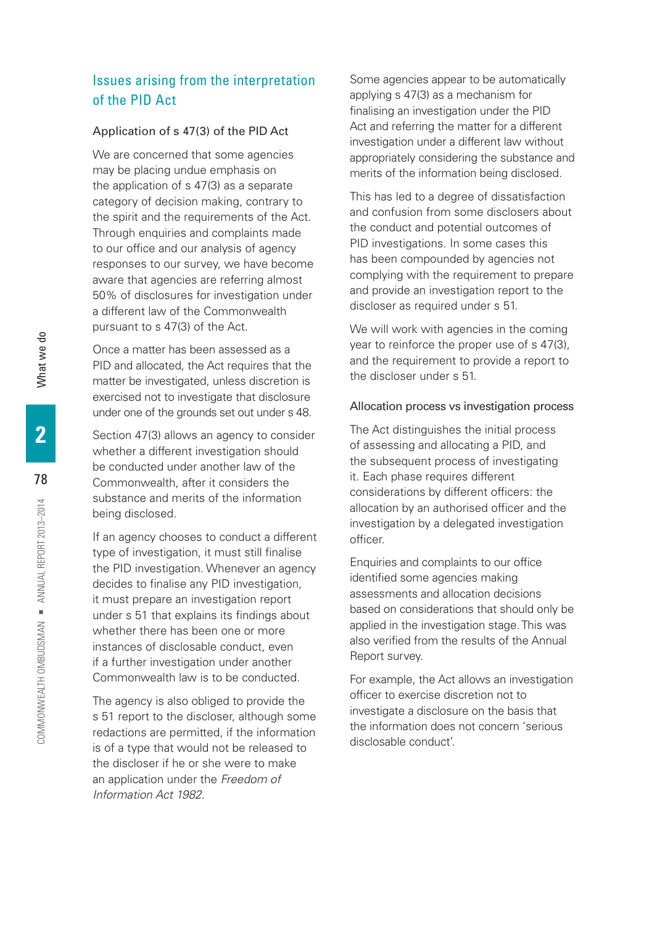# Issues arising from the interpretation of the PID Act

#### Application of s 47(3) of the PID Act

We are concerned that some agencies may be placing undue emphasis on the application of s 47(3) as a separate category of decision making, contrary to the spirit and the requirements of the Act. Through enquiries and complaints made to our office and our analysis of agency responses to our survey, we have become aware that agencies are referring almost 50% of disclosures for investigation under a different law of the Commonwealth pursuant to s 47(3) of the Act.

Once a matter has been assessed as a PID and allocated, the Act requires that the matter be investigated, unless discretion is exercised not to investigate that disclosure under one of the grounds set out under s 48.

Section 47(3) allows an agency to consider whether a different investigation should be conducted under another law of the Commonwealth, after it considers the substance and merits of the information being disclosed.

If an agency chooses to conduct a different type of investigation, it must still finalise the PID investigation. Whenever an agency decides to finalise any PID investigation, it must prepare an investigation report under s 51 that explains its findings about whether there has been one or more instances of disclosable conduct, even if a further investigation under another Commonwealth law is to be conducted.

The agency is also obliged to provide the s 51 report to the discloser, although some redactions are permitted, if the information is of a type that would not be released to the discloser if he or she were to make an application under the *Freedom of Information Act 1982*.

Some agencies appear to be automatically applying s 47(3) as a mechanism for finalising an investigation under the PID Act and referring the matter for a different investigation under a different law without appropriately considering the substance and merits of the information being disclosed.

This has led to a degree of dissatisfaction and confusion from some disclosers about the conduct and potential outcomes of PID investigations. In some cases this has been compounded by agencies not complying with the requirement to prepare and provide an investigation report to the discloser as required under s 51.

We will work with agencies in the coming year to reinforce the proper use of s 47(3), and the requirement to provide a report to the discloser under s 51.

#### Allocation process vs investigation process

The Act distinguishes the initial process of assessing and allocating a PID, and the subsequent process of investigating it. Each phase requires different considerations by different officers: the allocation by an authorised officer and the investigation by a delegated investigation officer.

Enquiries and complaints to our office identified some agencies making assessments and allocation decisions based on considerations that should only be applied in the investigation stage. This was also verified from the results of the Annual Report survey.

For example, the Act allows an investigation officer to exercise discretion not to investigate a disclosure on the basis that the information does not concern 'serious disclosable conduct'.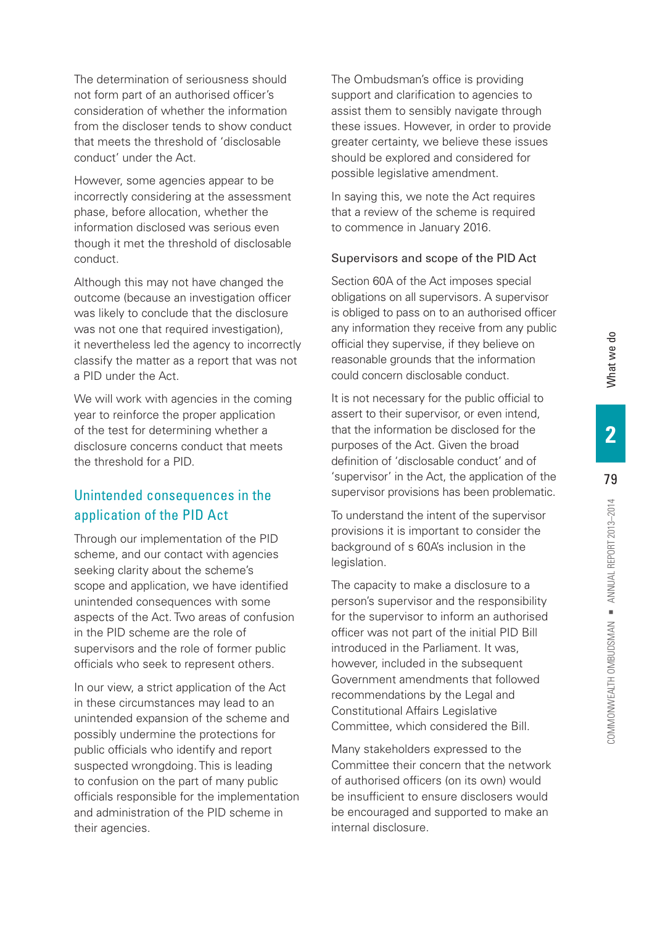The determination of seriousness should not form part of an authorised officer's consideration of whether the information from the discloser tends to show conduct that meets the threshold of 'disclosable conduct' under the Act.

However, some agencies appear to be incorrectly considering at the assessment phase, before allocation, whether the information disclosed was serious even though it met the threshold of disclosable conduct.

Although this may not have changed the outcome (because an investigation officer was likely to conclude that the disclosure was not one that required investigation). it nevertheless led the agency to incorrectly classify the matter as a report that was not a PID under the Act.

We will work with agencies in the coming year to reinforce the proper application of the test for determining whether a disclosure concerns conduct that meets the threshold for a PID.

# Unintended consequences in the application of the PID Act

Through our implementation of the PID scheme, and our contact with agencies seeking clarity about the scheme's scope and application, we have identified unintended consequences with some aspects of the Act. Two areas of confusion in the PID scheme are the role of supervisors and the role of former public officials who seek to represent others.

In our view, a strict application of the Act in these circumstances may lead to an unintended expansion of the scheme and possibly undermine the protections for public officials who identify and report suspected wrongdoing. This is leading to confusion on the part of many public officials responsible for the implementation and administration of the PID scheme in their agencies.

The Ombudsman's office is providing support and clarification to agencies to assist them to sensibly navigate through these issues. However, in order to provide greater certainty, we believe these issues should be explored and considered for possible legislative amendment.

In saying this, we note the Act requires that a review of the scheme is required to commence in January 2016.

#### Supervisors and scope of the PID Act

Section 60A of the Act imposes special obligations on all supervisors. A supervisor is obliged to pass on to an authorised officer any information they receive from any public official they supervise, if they believe on reasonable grounds that the information could concern disclosable conduct.

It is not necessary for the public official to assert to their supervisor, or even intend, that the information be disclosed for the purposes of the Act. Given the broad definition of 'disclosable conduct' and of 'supervisor' in the Act, the application of the supervisor provisions has been problematic.

To understand the intent of the supervisor provisions it is important to consider the background of s 60A's inclusion in the legislation.

The capacity to make a disclosure to a person's supervisor and the responsibility for the supervisor to inform an authorised officer was not part of the initial PID Bill introduced in the Parliament. It was, however, included in the subsequent Government amendments that followed recommendations by the Legal and Constitutional Affairs Legislative Committee, which considered the Bill.

Many stakeholders expressed to the Committee their concern that the network of authorised officers (on its own) would be insufficient to ensure disclosers would be encouraged and supported to make an internal disclosure.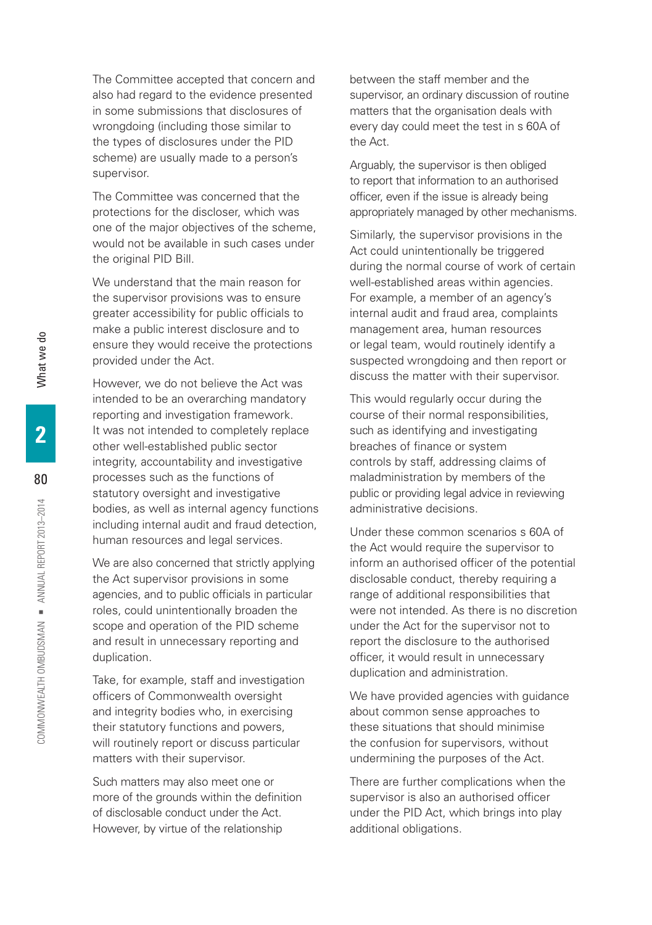The Committee accepted that concern and also had regard to the evidence presented in some submissions that disclosures of wrongdoing (including those similar to the types of disclosures under the PID scheme) are usually made to a person's supervisor.

The Committee was concerned that the protections for the discloser, which was one of the major objectives of the scheme, would not be available in such cases under the original PID Bill.

We understand that the main reason for the supervisor provisions was to ensure greater accessibility for public officials to make a public interest disclosure and to ensure they would receive the protections provided under the Act.

However, we do not believe the Act was intended to be an overarching mandatory reporting and investigation framework. It was not intended to completely replace other well-established public sector integrity, accountability and investigative processes such as the functions of statutory oversight and investigative bodies, as well as internal agency functions including internal audit and fraud detection, human resources and legal services.

We are also concerned that strictly applying the Act supervisor provisions in some agencies, and to public officials in particular roles, could unintentionally broaden the scope and operation of the PID scheme and result in unnecessary reporting and duplication.

Take, for example, staff and investigation officers of Commonwealth oversight and integrity bodies who, in exercising their statutory functions and powers, will routinely report or discuss particular matters with their supervisor.

Such matters may also meet one or more of the grounds within the definition of disclosable conduct under the Act. However, by virtue of the relationship

between the staff member and the supervisor, an ordinary discussion of routine matters that the organisation deals with every day could meet the test in s 60A of the Act.

Arguably, the supervisor is then obliged to report that information to an authorised officer, even if the issue is already being appropriately managed by other mechanisms.

Similarly, the supervisor provisions in the Act could unintentionally be triggered during the normal course of work of certain well-established areas within agencies. For example, a member of an agency's internal audit and fraud area, complaints management area, human resources or legal team, would routinely identify a suspected wrongdoing and then report or discuss the matter with their supervisor.

This would regularly occur during the course of their normal responsibilities, such as identifying and investigating breaches of finance or system controls by staff, addressing claims of maladministration by members of the public or providing legal advice in reviewing administrative decisions.

Under these common scenarios s 60A of the Act would require the supervisor to inform an authorised officer of the potential disclosable conduct, thereby requiring a range of additional responsibilities that were not intended. As there is no discretion under the Act for the supervisor not to report the disclosure to the authorised officer, it would result in unnecessary duplication and administration.

We have provided agencies with guidance about common sense approaches to these situations that should minimise the confusion for supervisors, without undermining the purposes of the Act.

There are further complications when the supervisor is also an authorised officer under the PID Act, which brings into play additional obligations.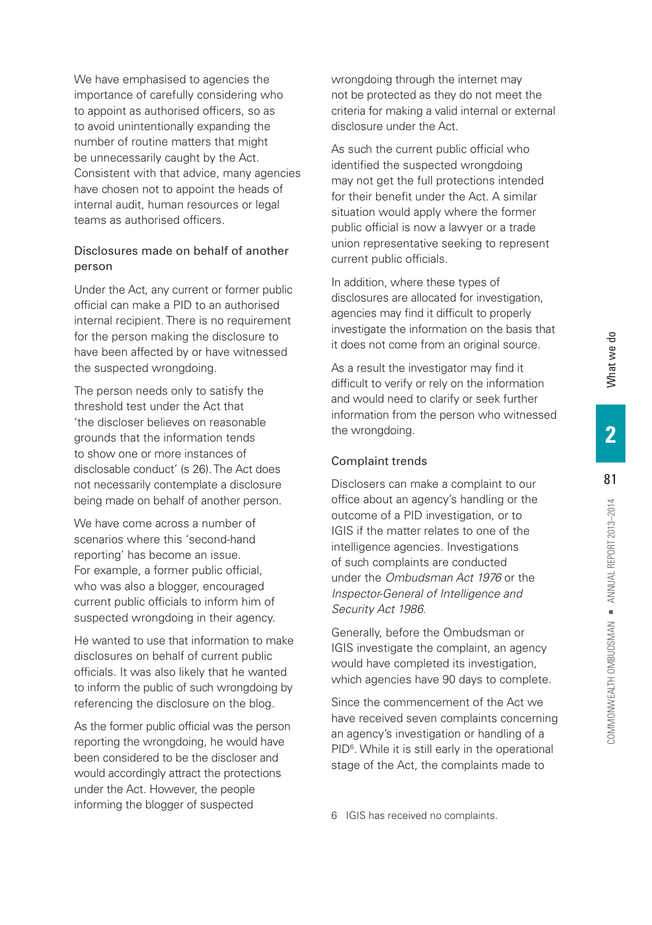We have emphasised to agencies the importance of carefully considering who to appoint as authorised officers, so as to avoid unintentionally expanding the number of routine matters that might be unnecessarily caught by the Act. Consistent with that advice, many agencies have chosen not to appoint the heads of internal audit, human resources or legal teams as authorised officers.

# Disclosures made on behalf of another person

Under the Act, any current or former public official can make a PID to an authorised internal recipient. There is no requirement for the person making the disclosure to have been affected by or have witnessed the suspected wrongdoing.

The person needs only to satisfy the threshold test under the Act that 'the discloser believes on reasonable grounds that the information tends to show one or more instances of disclosable conduct' (s 26). The Act does not necessarily contemplate a disclosure being made on behalf of another person.

We have come across a number of scenarios where this 'second-hand reporting' has become an issue. For example, a former public official, who was also a blogger, encouraged current public officials to inform him of suspected wrongdoing in their agency.

He wanted to use that information to make disclosures on behalf of current public officials. It was also likely that he wanted to inform the public of such wrongdoing by referencing the disclosure on the blog.

As the former public official was the person reporting the wrongdoing, he would have been considered to be the discloser and would accordingly attract the protections under the Act. However, the people informing the blogger of suspected

wrongdoing through the internet may not be protected as they do not meet the criteria for making a valid internal or external disclosure under the Act.

As such the current public official who identified the suspected wrongdoing may not get the full protections intended for their benefit under the Act. A similar situation would apply where the former public official is now a lawyer or a trade union representative seeking to represent current public officials.

In addition, where these types of disclosures are allocated for investigation, agencies may find it difficult to properly investigate the information on the basis that it does not come from an original source.

As a result the investigator may find it difficult to verify or rely on the information and would need to clarify or seek further information from the person who witnessed the wrongdoing.

## Complaint trends

Disclosers can make a complaint to our office about an agency's handling or the outcome of a PID investigation, or to IGIS if the matter relates to one of the intelligence agencies. Investigations of such complaints are conducted under the *Ombudsman Act 1976* or the *Inspector-General of Intelligence and Security Act 1986*.

Generally, before the Ombudsman or IGIS investigate the complaint, an agency would have completed its investigation, which agencies have 90 days to complete.

Since the commencement of the Act we have received seven complaints concerning an agency's investigation or handling of a PID<sup>6</sup>. While it is still early in the operational stage of the Act, the complaints made to

6 IGIS has received no complaints.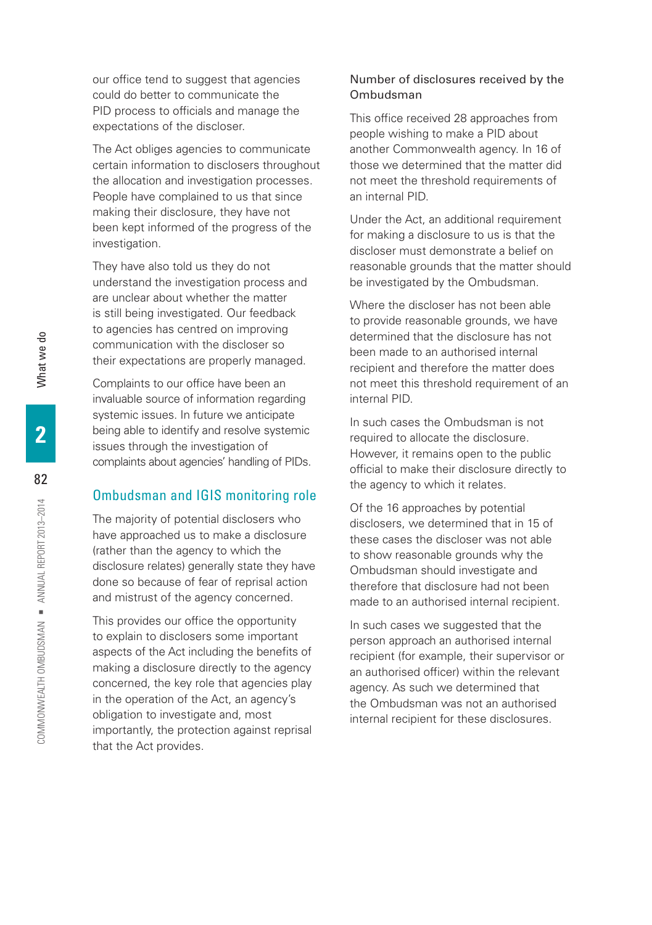our office tend to suggest that agencies could do better to communicate the PID process to officials and manage the expectations of the discloser.

The Act obliges agencies to communicate certain information to disclosers throughout the allocation and investigation processes. People have complained to us that since making their disclosure, they have not been kept informed of the progress of the investigation.

They have also told us they do not understand the investigation process and are unclear about whether the matter is still being investigated. Our feedback to agencies has centred on improving communication with the discloser so their expectations are properly managed.

Complaints to our office have been an invaluable source of information regarding systemic issues. In future we anticipate being able to identify and resolve systemic issues through the investigation of complaints about agencies' handling of PIDs.

# Ombudsman and IGIS monitoring role

The majority of potential disclosers who have approached us to make a disclosure (rather than the agency to which the disclosure relates) generally state they have done so because of fear of reprisal action and mistrust of the agency concerned.

This provides our office the opportunity to explain to disclosers some important aspects of the Act including the benefits of making a disclosure directly to the agency concerned, the key role that agencies play in the operation of the Act, an agency's obligation to investigate and, most importantly, the protection against reprisal that the Act provides.

## Number of disclosures received by the Ombudsman

This office received 28 approaches from people wishing to make a PID about another Commonwealth agency. In 16 of those we determined that the matter did not meet the threshold requirements of an internal PID.

Under the Act, an additional requirement for making a disclosure to us is that the discloser must demonstrate a belief on reasonable grounds that the matter should be investigated by the Ombudsman.

Where the discloser has not been able to provide reasonable grounds, we have determined that the disclosure has not been made to an authorised internal recipient and therefore the matter does not meet this threshold requirement of an internal PID.

In such cases the Ombudsman is not required to allocate the disclosure. However, it remains open to the public official to make their disclosure directly to the agency to which it relates.

Of the 16 approaches by potential disclosers, we determined that in 15 of these cases the discloser was not able to show reasonable grounds why the Ombudsman should investigate and therefore that disclosure had not been made to an authorised internal recipient.

In such cases we suggested that the person approach an authorised internal recipient (for example, their supervisor or an authorised officer) within the relevant agency. As such we determined that the Ombudsman was not an authorised internal recipient for these disclosures.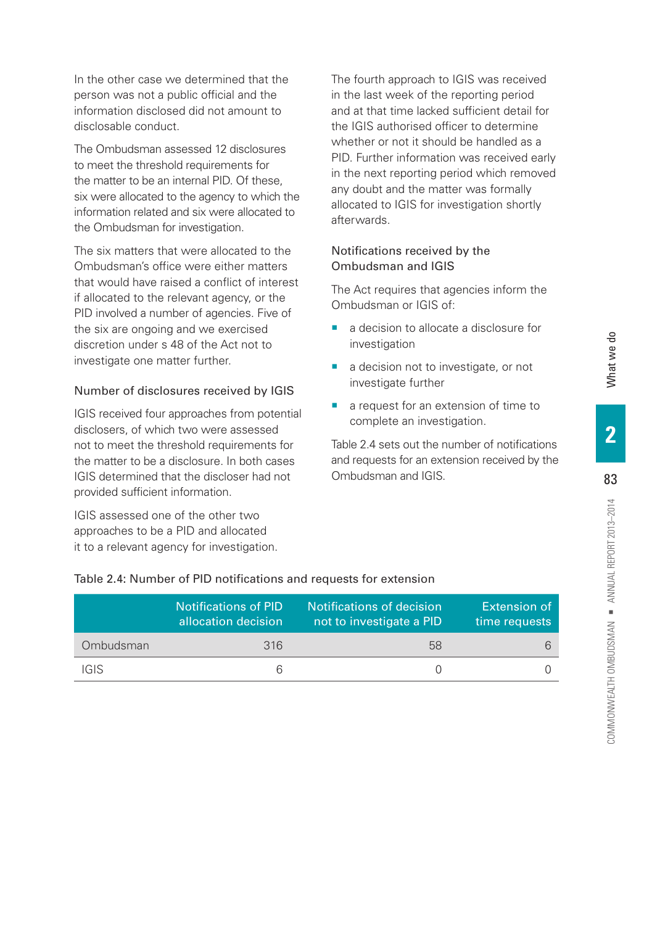In the other case we determined that the person was not a public official and the information disclosed did not amount to disclosable conduct.

The Ombudsman assessed 12 disclosures to meet the threshold requirements for the matter to be an internal PID. Of these, six were allocated to the agency to which the information related and six were allocated to the Ombudsman for investigation.

The six matters that were allocated to the Ombudsman's office were either matters that would have raised a conflict of interest if allocated to the relevant agency, or the PID involved a number of agencies. Five of the six are ongoing and we exercised discretion under s 48 of the Act not to investigate one matter further.

#### Number of disclosures received by IGIS

IGIS received four approaches from potential disclosers, of which two were assessed not to meet the threshold requirements for the matter to be a disclosure. In both cases IGIS determined that the discloser had not provided sufficient information.

IGIS assessed one of the other two approaches to be a PID and allocated it to a relevant agency for investigation. The fourth approach to IGIS was received in the last week of the reporting period and at that time lacked sufficient detail for the IGIS authorised officer to determine whether or not it should be handled as a PID. Further information was received early in the next reporting period which removed any doubt and the matter was formally allocated to IGIS for investigation shortly afterwards.

## Notifications received by the Ombudsman and IGIS

The Act requires that agencies inform the Ombudsman or IGIS of:

- a decision to allocate a disclosure for investigation
- a decision not to investigate, or not investigate further
- a request for an extension of time to complete an investigation.

Table 2.4 sets out the number of notifications and requests for an extension received by the Ombudsman and IGIS.

|           | <b>Notifications of PID</b><br>allocation decision | Notifications of decision<br>not to investigate a PID | Extension of<br>time requests |
|-----------|----------------------------------------------------|-------------------------------------------------------|-------------------------------|
| Ombudsman | 316                                                | 58                                                    | 6                             |
| IGIS      |                                                    |                                                       |                               |

# Table 2.4: Number of PID notifications and requests for extension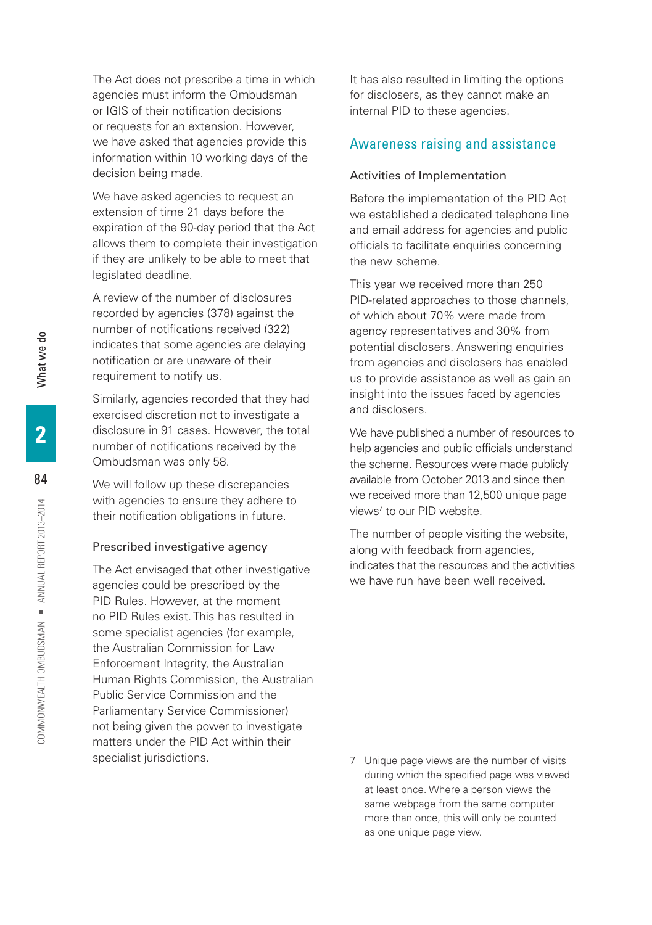The Act does not prescribe a time in which agencies must inform the Ombudsman or IGIS of their notification decisions or requests for an extension. However, we have asked that agencies provide this information within 10 working days of the decision being made.

We have asked agencies to request an extension of time 21 days before the expiration of the 90-day period that the Act allows them to complete their investigation if they are unlikely to be able to meet that legislated deadline.

A review of the number of disclosures recorded by agencies (378) against the number of notifications received (322) indicates that some agencies are delaying notification or are unaware of their requirement to notify us.

Similarly, agencies recorded that they had exercised discretion not to investigate a disclosure in 91 cases. However, the total number of notifications received by the Ombudsman was only 58.

We will follow up these discrepancies with agencies to ensure they adhere to their notification obligations in future.

#### Prescribed investigative agency

The Act envisaged that other investigative agencies could be prescribed by the PID Rules. However, at the moment no PID Rules exist. This has resulted in some specialist agencies (for example, the Australian Commission for Law Enforcement Integrity, the Australian Human Rights Commission, the Australian Public Service Commission and the Parliamentary Service Commissioner) not being given the power to investigate matters under the PID Act within their specialist jurisdictions.

It has also resulted in limiting the options for disclosers, as they cannot make an internal PID to these agencies.

# Awareness raising and assistance

#### Activities of Implementation

Before the implementation of the PID Act we established a dedicated telephone line and email address for agencies and public officials to facilitate enquiries concerning the new scheme.

This year we received more than 250 PID-related approaches to those channels, of which about 70% were made from agency representatives and 30% from potential disclosers. Answering enquiries from agencies and disclosers has enabled us to provide assistance as well as gain an insight into the issues faced by agencies and disclosers.

We have published a number of resources to help agencies and public officials understand the scheme. Resources were made publicly available from October 2013 and since then we received more than 12,500 unique page views7 to our PID website.

The number of people visiting the website, along with feedback from agencies, indicates that the resources and the activities we have run have been well received.

7 Unique page views are the number of visits during which the specified page was viewed at least once. Where a person views the same webpage from the same computer more than once, this will only be counted as one unique page view.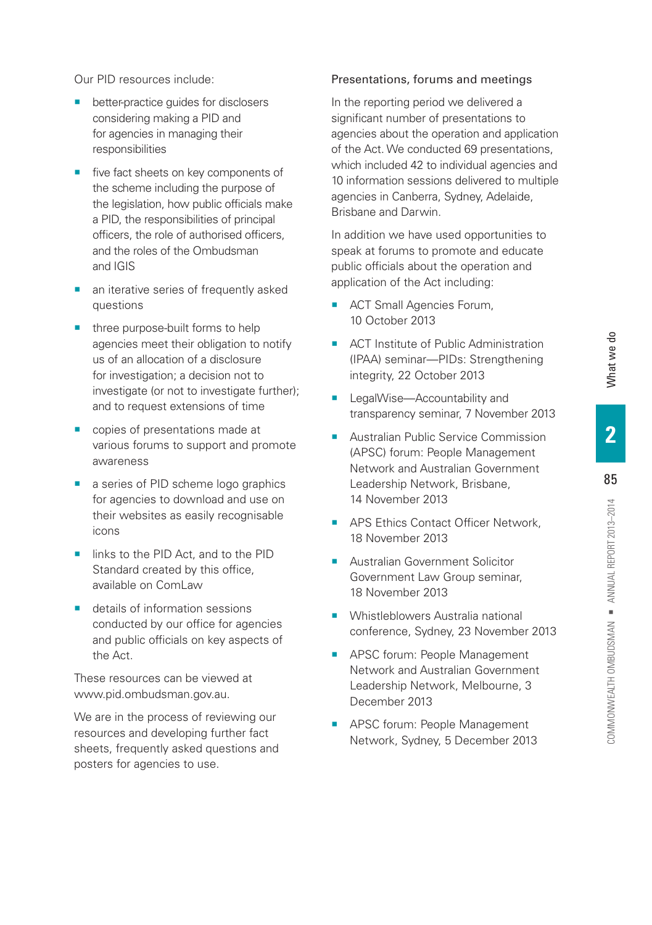COMMONWEALTH OMBUDSMAN = ANNUAL REPORT 2013-2014

- better-practice guides for disclosers considering making a PID and for agencies in managing their responsibilities
- five fact sheets on key components of the scheme including the purpose of the legislation, how public officials make a PID, the responsibilities of principal officers, the role of authorised officers, and the roles of the Ombudsman and IGIS
- an iterative series of frequently asked questions
- three purpose-built forms to help agencies meet their obligation to notify us of an allocation of a disclosure for investigation; a decision not to investigate (or not to investigate further); and to request extensions of time
- **•** copies of presentations made at various forums to support and promote awareness
- a series of PID scheme logo graphics for agencies to download and use on their websites as easily recognisable icons
- links to the PID Act, and to the PID Standard created by this office, available on ComLaw
- details of information sessions conducted by our office for agencies and public officials on key aspects of the Act.

These resources can be viewed at [www.pid.ombudsman.gov.au.](www.pid.ombudsman.gov.au)

We are in the process of reviewing our resources and developing further fact sheets, frequently asked questions and posters for agencies to use.

#### Presentations, forums and meetings

In the reporting period we delivered a significant number of presentations to agencies about the operation and application of the Act. We conducted 69 presentations, which included 42 to individual agencies and 10 information sessions delivered to multiple agencies in Canberra, Sydney, Adelaide, Brisbane and Darwin.

In addition we have used opportunities to speak at forums to promote and educate public officials about the operation and application of the Act including:

- ACT Small Agencies Forum, 10 October 2013
- ACT Institute of Public Administration (IPAA) seminar—PIDs: Strengthening integrity, 22 October 2013
- **E** LegalWise—Accountability and transparency seminar, 7 November 2013
- Australian Public Service Commission (APSC) forum: People Management Network and Australian Government Leadership Network, Brisbane, 14 November 2013
- **APS Ethics Contact Officer Network.** 18 November 2013
- **E** Australian Government Solicitor Government Law Group seminar, 18 November 2013
- **Whistleblowers Australia national** conference, Sydney, 23 November 2013
- **EXEC FOR APSC forum: People Management** Network and Australian Government Leadership Network, Melbourne, 3 December 2013
- **EXEC FOR APSC forum: People Management** Network, Sydney, 5 December 2013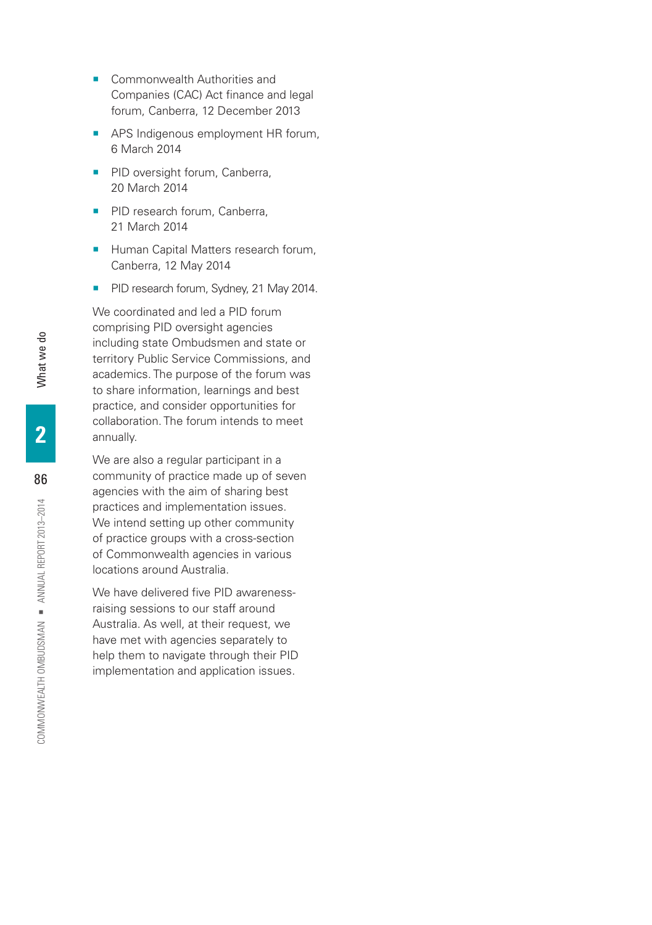- Commonwealth Authorities and Companies (CAC) Act finance and legal forum, Canberra, 12 December 2013
- **APS Indigenous employment HR forum,** 6 March 2014
- **PID oversight forum, Canberra,** 20 March 2014
- PID research forum, Canberra, 21 March 2014
- Human Capital Matters research forum, Canberra, 12 May 2014
- **PID research forum, Sydney, 21 May 2014.**

We coordinated and led a PID forum comprising PID oversight agencies including state Ombudsmen and state or territory Public Service Commissions, and academics. The purpose of the forum was to share information, learnings and best practice, and consider opportunities for collaboration. The forum intends to meet annually.

We are also a regular participant in a community of practice made up of seven agencies with the aim of sharing best practices and implementation issues. We intend setting up other community of practice groups with a cross-section of Commonwealth agencies in various locations around Australia.

We have delivered five PID awarenessraising sessions to our staff around Australia. As well, at their request, we have met with agencies separately to help them to navigate through their PID implementation and application issues.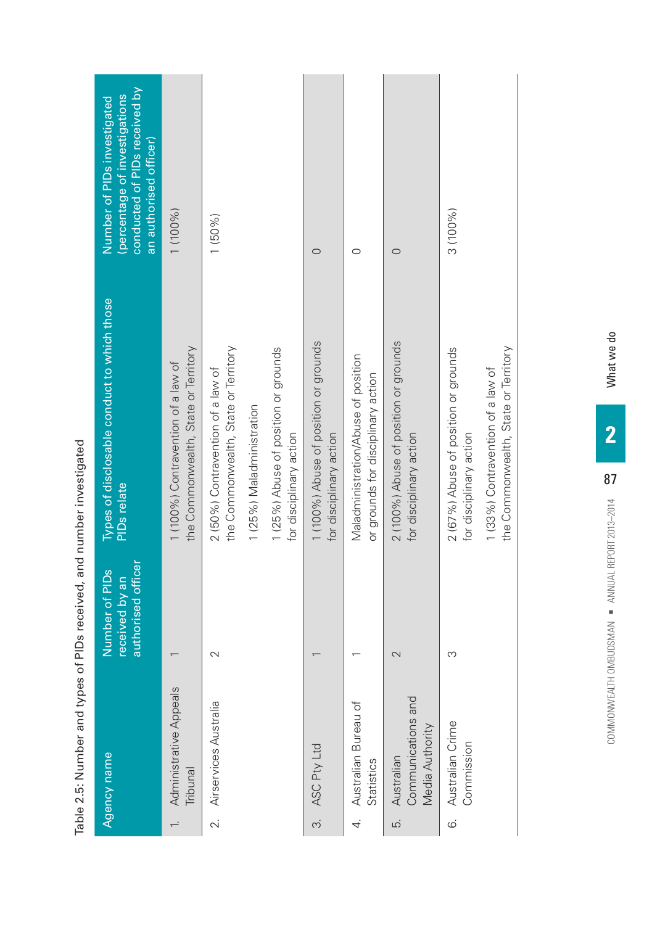|        | conducted of PIDs received by<br>(percentage of investigations<br>Number of PIDs investigated<br>an authorised officer) | 1 (100%)                                                                   | $1(50\%)$                                                                 |                           |                                                                 | $\circ$                                                          | $\circ$                                                                   | $\circ$                                                          | 3 (100%)                                                        |                                                                           |
|--------|-------------------------------------------------------------------------------------------------------------------------|----------------------------------------------------------------------------|---------------------------------------------------------------------------|---------------------------|-----------------------------------------------------------------|------------------------------------------------------------------|---------------------------------------------------------------------------|------------------------------------------------------------------|-----------------------------------------------------------------|---------------------------------------------------------------------------|
| ו<br>ה | Types of disclosable conduct to which those<br><b>PIDs</b> relate                                                       | the Commonwealth, State or Territory<br>1 (100%) Contravention of a law of | the Commonwealth, State or Territory<br>2 (50%) Contravention of a law of | 1 (25%) Maladministration | 1 (25%) Abuse of position or grounds<br>for disciplinary action | 1 (100%) Abuse of position or grounds<br>for disciplinary action | Maladministration/Abuse of position<br>or grounds for disciplinary action | 2 (100%) Abuse of position or grounds<br>for disciplinary action | 2 (67%) Abuse of position or grounds<br>for disciplinary action | the Commonwealth, State or Territory<br>1 (33%) Contravention of a law of |
|        | authorised officer<br>Number of PIDs<br>received by an                                                                  |                                                                            | 2                                                                         |                           |                                                                 |                                                                  |                                                                           | 2                                                                | S                                                               |                                                                           |
|        | Agency name                                                                                                             | Administrative Appeals<br>Tribunal                                         | Airservices Australia<br>$\sim$                                           |                           |                                                                 | ASC Pty Ltd<br>$\vec{c}$                                         | Australian Bureau of<br>Statistics<br>4.                                  | Communications and<br>Media Authority<br>Australian<br>.<br>د    | Australian Crime<br>Commission<br>$\ddot{\circ}$                |                                                                           |

Table 2.5: Number and types of PIDs received, and number investigated Table 2.5: Number and types of PIDs received, and number investigated What we do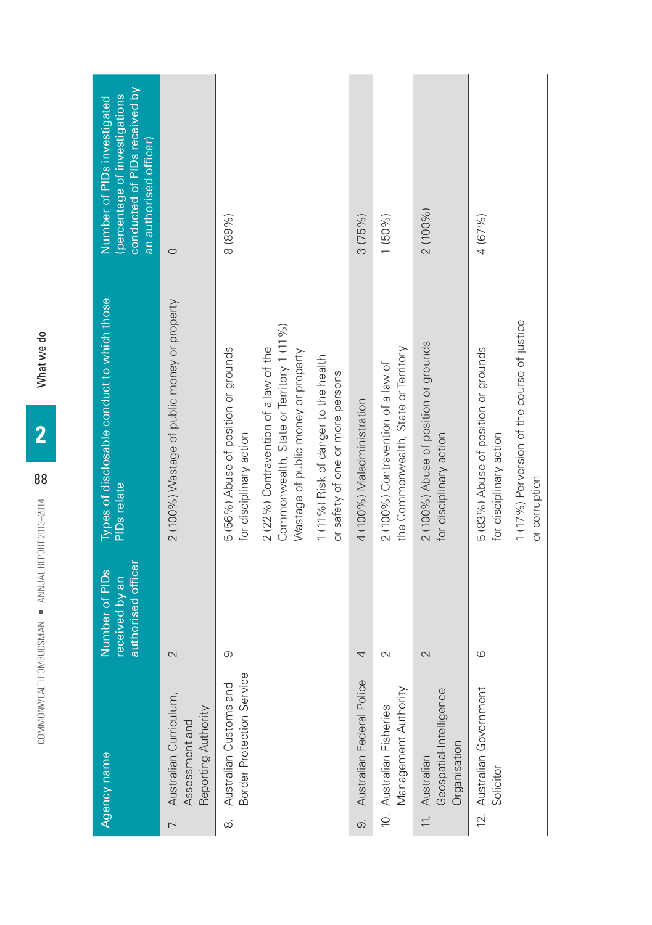| conducted of PIDs received by<br>(percentage of investigations<br>Number of PIDs investigated<br>an authorised officer) | $\circ$                                                                           | 8 (89%)                                                         |                                                                                                                           |                                                                          | 3(75%)                         | $1(50\%)$                                                                  | 2 (100%)                                                                | 4 (67%)                                                         |                                                              |
|-------------------------------------------------------------------------------------------------------------------------|-----------------------------------------------------------------------------------|-----------------------------------------------------------------|---------------------------------------------------------------------------------------------------------------------------|--------------------------------------------------------------------------|--------------------------------|----------------------------------------------------------------------------|-------------------------------------------------------------------------|-----------------------------------------------------------------|--------------------------------------------------------------|
| Types of disclosable conduct to which those<br><b>PIDs</b> relate                                                       | 2 (100%) Wastage of public money or property                                      | 5 (56%) Abuse of position or grounds<br>for disciplinary action | Commonwealth, State or Territory 1 (11 %)<br>2 (22%) Contravention of a law of the<br>Wastage of public money or property | 1 (11%) Risk of danger to the health<br>or safety of one or more persons | 4 (100%) Maladministration     | the Commonwealth, State or Territory<br>2 (100%) Contravention of a law of | 2 (100%) Abuse of position or grounds<br>for disciplinary action        | 5 (83%) Abuse of position or grounds<br>for disciplinary action | 1 (17%) Perversion of the course of justice<br>or corruption |
| authorised officer<br>Number of PIDs<br>received by an                                                                  | 2                                                                                 | တ                                                               |                                                                                                                           |                                                                          | 4                              | $\sim$                                                                     | 2                                                                       | $\circ$                                                         |                                                              |
| Agency name                                                                                                             | Australian Curriculum,<br>Reporting Authority<br>Assessment and<br>$\overline{r}$ | Border Protection Service<br>Australian Customs and<br>$\infty$ |                                                                                                                           |                                                                          | Australian Federal Police<br>တ | Management Authority<br>10. Australian Fisheries                           | Geospatial-Intelligence<br>Organisation<br>Australian<br>$\overline{=}$ | 12. Australian Government<br>Solicitor                          |                                                              |

What we do COMMONWEALTH OMBURSMAN IN A SALT A SALT A SALT A SALT A SALT A SALT A SALT A SALT A SALT A SALT A SALT A SALT A SALT A SALT A SALT A SALT A SALT A SALT A SALT A SALT A SALT A SALT A SALT A SALT A SALT A SALT A SALT A SALT **2**

88

COMMONWEALTH OMBUDSMAN · ANNUAL REPORT 2013-2014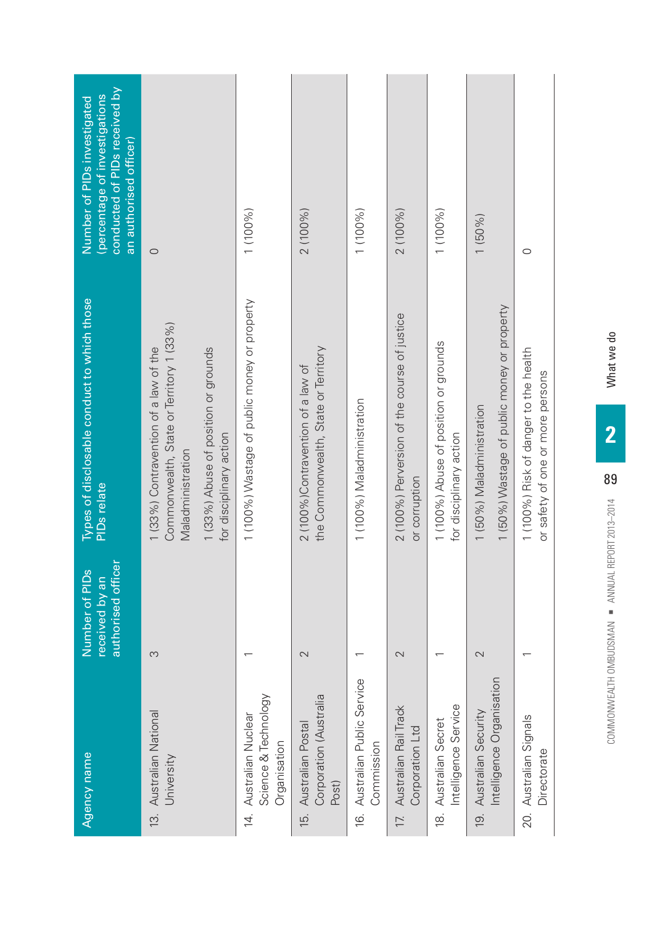| Agency name                                                    | authorised officer<br>Number of PIDs<br>received by an | Types of disclosable conduct to which those<br><b>PIDs</b> relate                                                                                                         | conducted of PIDs received by<br>(percentage of investigations<br>Number of PIDs investigated<br>an authorised officer) |
|----------------------------------------------------------------|--------------------------------------------------------|---------------------------------------------------------------------------------------------------------------------------------------------------------------------------|-------------------------------------------------------------------------------------------------------------------------|
| 13. Australian National<br>University                          | S                                                      | Commonwealth, State or Territory 1 (33%)<br>1 (33%) Contravention of a law of the<br>1 (33%) Abuse of position or grounds<br>for disciplinary action<br>Maladministration | $\circ$                                                                                                                 |
| Science & Technology<br>14. Australian Nuclear<br>Organisation |                                                        | 1 (100%) Wastage of public money or property                                                                                                                              | 1 (100 %)                                                                                                               |
| Corporation (Australia<br>15. Australian Postal<br>Post)       | $\mathbf{\Omega}$                                      | the Commonwealth, State or Territory<br>2 (100%)Contravention of a law of                                                                                                 | 2 (100 %)                                                                                                               |
| 16. Australian Public Service<br>Commission                    |                                                        | 1 (100%) Maladministration                                                                                                                                                | 1 (100 %)                                                                                                               |
| Australian Rail Track<br>Corporation Ltd<br>17.                | 2                                                      | 2 (100%) Perversion of the course of justice<br>or corruption                                                                                                             | 2 (100%)                                                                                                                |
| Intelligence Service<br>18. Australian Secret                  |                                                        | 1 (100%) Abuse of position or grounds<br>for disciplinary action                                                                                                          | 1 (100%)                                                                                                                |
| Intelligence Organisation<br>19. Australian Security           | 2                                                      | 1 (50%) Wastage of public money or property<br>1 (50%) Maladministration                                                                                                  | $1(50\%)$                                                                                                               |
| 20. Australian Signals<br>Directorate                          |                                                        | 1 (100%) Risk of danger to the health<br>or safety of one or more persons                                                                                                 | $\circ$                                                                                                                 |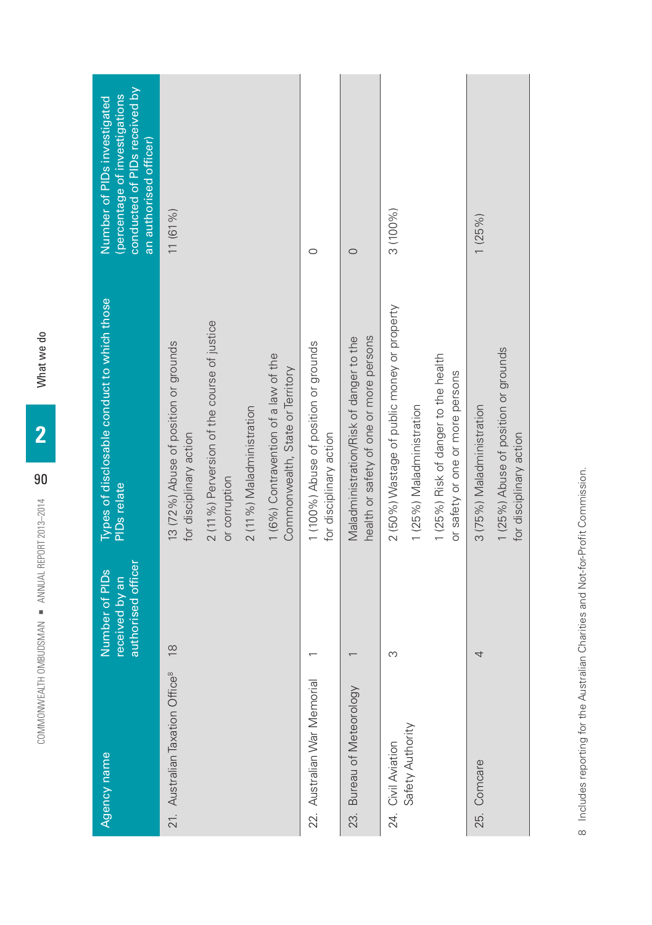| conducted of PIDs received by<br>(percentage of investigations<br>Number of PIDs investigated<br>an authorised officer)<br>Types of disclosable conduct to which those<br><b>PIDs</b> relate<br>authorised officer<br>Number of PIDs<br>received by an | 11(61%)<br>2 (11%) Perversion of the course of justice<br>13 (72%) Abuse of position or grounds<br>1 (6%) Contravention of a law of the<br>Commonwealth, State or Territory<br>2 (11%) Maladministration<br>for disciplinary action<br>or corruption<br>$\frac{8}{1}$ | $\circ$<br>O<br>health or safety of one or more persons<br>Maladministration/Risk of danger to the<br>1 (100%) Abuse of position or grounds<br>for disciplinary action | 3 (100%)<br>2 (50%) Wastage of public money or property<br>1 (25%) Risk of danger to the health<br>or safety or one or more persons<br>1 (25%) Maladministration<br>S | 1(25%)<br>3 (75%) Maladministration<br>4                        |
|--------------------------------------------------------------------------------------------------------------------------------------------------------------------------------------------------------------------------------------------------------|-----------------------------------------------------------------------------------------------------------------------------------------------------------------------------------------------------------------------------------------------------------------------|------------------------------------------------------------------------------------------------------------------------------------------------------------------------|-----------------------------------------------------------------------------------------------------------------------------------------------------------------------|-----------------------------------------------------------------|
|                                                                                                                                                                                                                                                        |                                                                                                                                                                                                                                                                       |                                                                                                                                                                        |                                                                                                                                                                       | 1 (25%) Abuse of position or grounds<br>for disciplinary action |
| Agency name                                                                                                                                                                                                                                            | 21. Australian Taxation Office <sup>8</sup>                                                                                                                                                                                                                           | 22. Australian War Memorial<br>Bureau of Meteorology<br>23.                                                                                                            | Safety Authority<br>24. Civil Aviation                                                                                                                                | 25. Comcare                                                     |

8 Includes reporting for the Australian Charities and Not-for-Profit Commission. Includes reporting for the Australian Charities and Not-for-Profit Commission.

What we do COMMONWEALTH OMBUDSMAN ¡ ANNUAL REPORT 2013–2014 What we do

90

COMMONWEALTH OMBUDSMAN · ANNUAL REPORT 2013-2014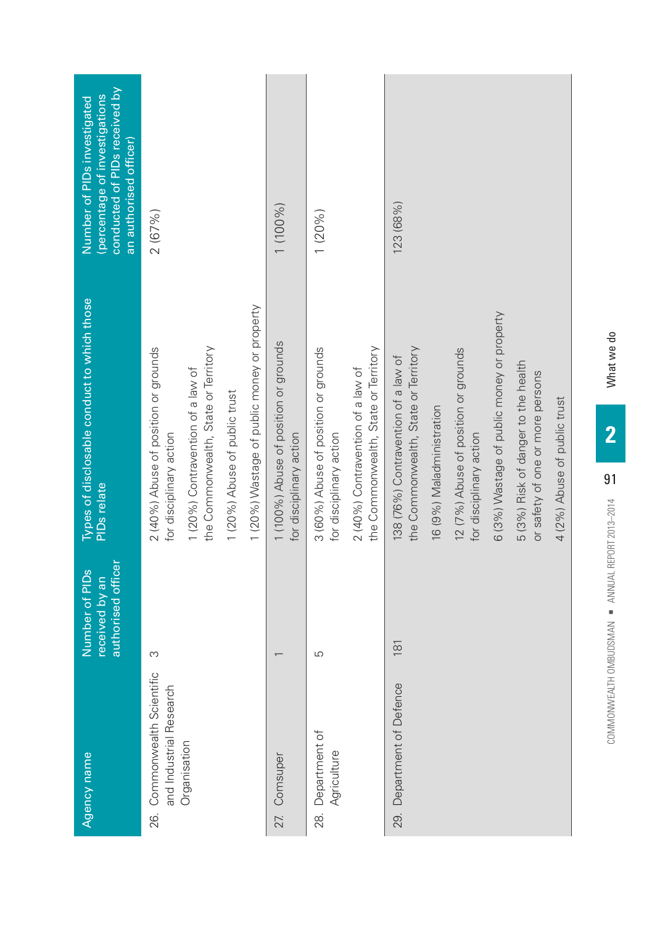| Agency name                                            | authorised officer<br>Number of PIDs<br>received by an | Types of disclosable conduct to which those<br><b>PIDs</b> relate           | conducted of PIDs received by<br>(percentage of investigations<br>Number of PIDs investigated<br>an authorised officer) |
|--------------------------------------------------------|--------------------------------------------------------|-----------------------------------------------------------------------------|-------------------------------------------------------------------------------------------------------------------------|
| 26. Commonwealth Scientific<br>and Industrial Research | S                                                      | 2 (40%) Abuse of position or grounds<br>for disciplinary action             | 2(67%)                                                                                                                  |
| Organisation                                           |                                                        | the Commonwealth, State or Territory<br>1 (20%) Contravention of a law of   |                                                                                                                         |
|                                                        |                                                        | 1 (20%) Abuse of public trust                                               |                                                                                                                         |
|                                                        |                                                        | 1 (20%) Wastage of public money or property                                 |                                                                                                                         |
| 27. Comsuper                                           |                                                        | 1 (100%) Abuse of position or grounds<br>for disciplinary action            | 1 (100%)                                                                                                                |
| Department of<br>Agriculture<br>28.                    | S                                                      | 3 (60%) Abuse of position or grounds<br>for disciplinary action             | 1(20%)                                                                                                                  |
|                                                        |                                                        | the Commonwealth, State or Territory<br>2 (40%) Contravention of a law of   |                                                                                                                         |
| 29. Department of Defence                              | 181                                                    | the Commonwealth, State or Territory<br>138 (76%) Contravention of a law of | 123 (68%)                                                                                                               |
|                                                        |                                                        | 16 (9%) Maladministration                                                   |                                                                                                                         |
|                                                        |                                                        | 12 (7%) Abuse of position or grounds<br>for disciplinary action             |                                                                                                                         |
|                                                        |                                                        | 6 (3%) Wastage of public money or property                                  |                                                                                                                         |
|                                                        |                                                        | 5 (3%) Risk of danger to the health<br>or safety of one or more persons     |                                                                                                                         |
|                                                        |                                                        | 4 (2%) Abuse of public trust                                                |                                                                                                                         |

What we do

OD BING OMBUNG OMBUNG OMBUNG OMBUNG ALTHREDRIG AND A ANNUAL REPORT 2013–2014 WHAT WE DIRECTED FOR A SALE REPORT 2014 WHAT WE DIRECTED FOR A SALE REPORT OF THE SALE REPORT OF THE SALE REPORT OF THE SALE REPORT OF THE SALE R

COMMONWEALTH OMBUDSMAN - ANNUAL REPORT 2013-2014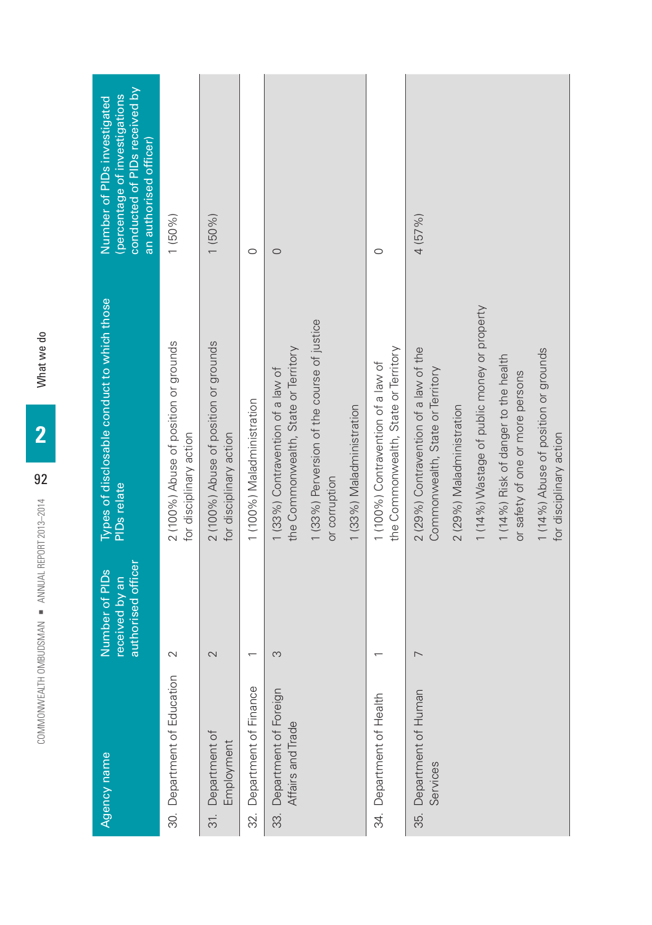| Agency name                                    | authorised officer<br>Number of PIDs<br>received by an | Types of disclosable conduct to which those<br><b>PIDs</b> relate          | conducted of PIDs received by<br>(percentage of investigations<br>Number of PIDs investigated<br>an authorised officer) |
|------------------------------------------------|--------------------------------------------------------|----------------------------------------------------------------------------|-------------------------------------------------------------------------------------------------------------------------|
| 30. Department of Education                    | $\sim$                                                 | 2 (100%) Abuse of position or grounds<br>for disciplinary action           | 1(50%)                                                                                                                  |
| Department of<br>Employment<br>31.             | $\sim$                                                 | 2 (100%) Abuse of position or grounds<br>for disciplinary action           | $1(50\%)$                                                                                                               |
| Department of Finance<br>32.                   |                                                        | 1 (100%) Maladministration                                                 | $\circ$                                                                                                                 |
| 33. Department of Foreign<br>Affairs and Trade | S                                                      | the Commonwealth, State or Territory<br>1 (33%) Contravention of a law of  | $\circ$                                                                                                                 |
|                                                |                                                        | 1 (33%) Perversion of the course of justice<br>or corruption               |                                                                                                                         |
|                                                |                                                        | 1 (33%) Maladministration                                                  |                                                                                                                         |
| 34. Department of Health                       |                                                        | the Commonwealth, State or Territory<br>1 (100%) Contravention of a law of | $\circ$                                                                                                                 |
| Department of Human<br>Services<br>35.         | $\overline{\phantom{0}}$                               | 2 (29%) Contravention of a law of the<br>Commonwealth, State or Territory  | 4(57%)                                                                                                                  |
|                                                |                                                        | 2 (29%) Maladministration                                                  |                                                                                                                         |
|                                                |                                                        | 1 (14%) Wastage of public money or property                                |                                                                                                                         |
|                                                |                                                        | 1 (14%) Risk of danger to the health<br>or safety of one or more persons   |                                                                                                                         |
|                                                |                                                        | 1 (14%) Abuse of position or grounds<br>for disciplinary action            |                                                                                                                         |

What we do COMMONWEALTH OMBURSMAN IN THE SEARCH OMBURSMAN IN THE SEARCH OF THE SEARCH OF THE SEARCH OF THE SEARCH OF THE SEARCH OF THE SEARCH OF THE SEARCH OF THE SEARCH OF THE SEARCH OF THE SEARCH OF THE SEARCH OF THE SEARCH OF THE

**2**

92

COMMONWEALTH OMBUDSMAN · ANNUAL REPORT 2013-2014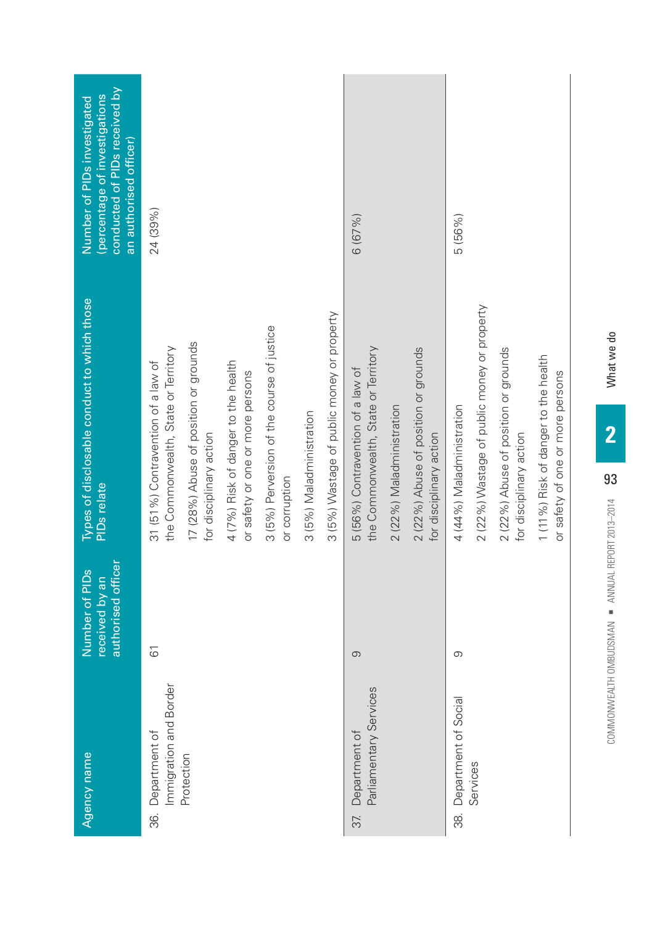| 2 (22%) Wastage of public money or property<br>3 (5%) Wastage of public money or property<br>3 (5%) Perversion of the course of justice<br>17 (28%) Abuse of position or grounds<br>the Commonwealth, State or Territory<br>the Commonwealth, State or Territory<br>2 (22%) Abuse of position or grounds<br>2 (22%) Abuse of position or grounds<br>1 (11%) Risk of danger to the health<br>4 (7%) Risk of danger to the health<br>31 (51%) Contravention of a law of<br>5 (56%) Contravention of a law of<br>or safety or one or more persons<br>or safety of one or more persons<br>4 (44%) Maladministration<br>2 (22%) Maladministration<br>3 (5%) Maladministration<br>for disciplinary action<br>for disciplinary action<br>for disciplinary action<br>or corruption<br>$\overline{6}$<br>$\circ$<br>$\circ$<br>Immigration and Border<br>Parliamentary Services<br>38. Department of Social<br>36. Department of<br>Department of<br>Protection<br>Services<br>37. | Agency name | authorised officer<br>Number of PIDs<br>received by an | Types of disclosable conduct to which those<br><b>PIDs</b> relate | conducted of PIDs received by<br>(percentage of investigations<br>Number of PIDs investigated<br>an authorised officer) |
|---------------------------------------------------------------------------------------------------------------------------------------------------------------------------------------------------------------------------------------------------------------------------------------------------------------------------------------------------------------------------------------------------------------------------------------------------------------------------------------------------------------------------------------------------------------------------------------------------------------------------------------------------------------------------------------------------------------------------------------------------------------------------------------------------------------------------------------------------------------------------------------------------------------------------------------------------------------------------|-------------|--------------------------------------------------------|-------------------------------------------------------------------|-------------------------------------------------------------------------------------------------------------------------|
|                                                                                                                                                                                                                                                                                                                                                                                                                                                                                                                                                                                                                                                                                                                                                                                                                                                                                                                                                                           |             |                                                        |                                                                   | 24 (39%)                                                                                                                |
|                                                                                                                                                                                                                                                                                                                                                                                                                                                                                                                                                                                                                                                                                                                                                                                                                                                                                                                                                                           |             |                                                        |                                                                   |                                                                                                                         |
|                                                                                                                                                                                                                                                                                                                                                                                                                                                                                                                                                                                                                                                                                                                                                                                                                                                                                                                                                                           |             |                                                        |                                                                   |                                                                                                                         |
|                                                                                                                                                                                                                                                                                                                                                                                                                                                                                                                                                                                                                                                                                                                                                                                                                                                                                                                                                                           |             |                                                        |                                                                   |                                                                                                                         |
|                                                                                                                                                                                                                                                                                                                                                                                                                                                                                                                                                                                                                                                                                                                                                                                                                                                                                                                                                                           |             |                                                        |                                                                   |                                                                                                                         |
|                                                                                                                                                                                                                                                                                                                                                                                                                                                                                                                                                                                                                                                                                                                                                                                                                                                                                                                                                                           |             |                                                        |                                                                   |                                                                                                                         |
|                                                                                                                                                                                                                                                                                                                                                                                                                                                                                                                                                                                                                                                                                                                                                                                                                                                                                                                                                                           |             |                                                        |                                                                   | 6(67%)                                                                                                                  |
|                                                                                                                                                                                                                                                                                                                                                                                                                                                                                                                                                                                                                                                                                                                                                                                                                                                                                                                                                                           |             |                                                        |                                                                   |                                                                                                                         |
|                                                                                                                                                                                                                                                                                                                                                                                                                                                                                                                                                                                                                                                                                                                                                                                                                                                                                                                                                                           |             |                                                        |                                                                   |                                                                                                                         |
|                                                                                                                                                                                                                                                                                                                                                                                                                                                                                                                                                                                                                                                                                                                                                                                                                                                                                                                                                                           |             |                                                        |                                                                   | 5 (56%)                                                                                                                 |
|                                                                                                                                                                                                                                                                                                                                                                                                                                                                                                                                                                                                                                                                                                                                                                                                                                                                                                                                                                           |             |                                                        |                                                                   |                                                                                                                         |
|                                                                                                                                                                                                                                                                                                                                                                                                                                                                                                                                                                                                                                                                                                                                                                                                                                                                                                                                                                           |             |                                                        |                                                                   |                                                                                                                         |
|                                                                                                                                                                                                                                                                                                                                                                                                                                                                                                                                                                                                                                                                                                                                                                                                                                                                                                                                                                           |             |                                                        |                                                                   |                                                                                                                         |

What we do

COMMONWEALTH OMBUDSMAN (2013–2013–2014) ANNUAL REPORT 2013–2014 WHAT WE DO COMMON WE DO CONTRIBUTED AT A CHARGE AND MALL COMMON WE DO CONTRIBUTED AND MALL COMMON WAS CONTRIBUTED ON A SAFE OF DRIVING WHAT CONTRIBUTED AND MA

COMMONWEALTH OMBUDSMAN ANNUAL REPORT 2013-2014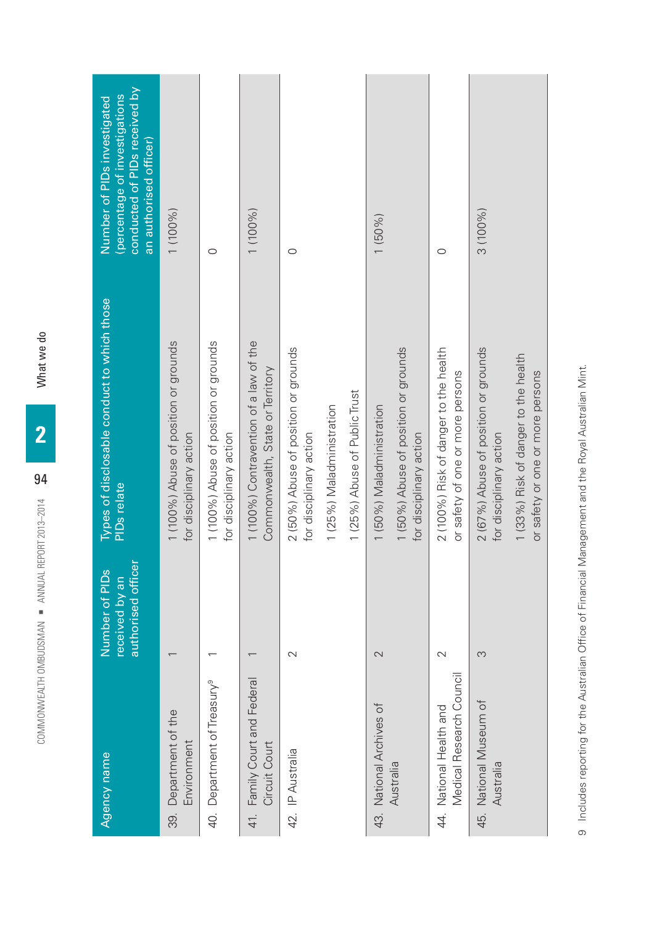| Agency name                                         | authorised officer<br>Number of PIDs<br>received by an | Types of disclosable conduct to which those<br><b>PIDs</b> relate          | conducted of PIDs received by<br>(percentage of investigations<br>Number of PIDs investigated<br>an authorised officer) |
|-----------------------------------------------------|--------------------------------------------------------|----------------------------------------------------------------------------|-------------------------------------------------------------------------------------------------------------------------|
| 39. Department of the<br>Environment                |                                                        | 1 (100%) Abuse of position or grounds<br>for disciplinary action           | 1 (100%)                                                                                                                |
| 40. Department of Treasury <sup>9</sup>             |                                                        | 1 (100%) Abuse of position or grounds<br>for disciplinary action           | $\circ$                                                                                                                 |
| 41. Family Court and Federal<br>Circuit Court       |                                                        | 1 (100%) Contravention of a law of the<br>Commonwealth, State or Territory | 1 (100%)                                                                                                                |
| 42. IP Australia                                    | $\mathbf 2$                                            | 2 (50%) Abuse of position or grounds<br>for disciplinary action            | $\circ$                                                                                                                 |
|                                                     |                                                        | 1 (25%) Maladministration                                                  |                                                                                                                         |
|                                                     |                                                        | 1 (25%) Abuse of Public Trust                                              |                                                                                                                         |
| 43. National Archives of                            | 2                                                      | 1 (50%) Maladministration                                                  | $1(50\%)$                                                                                                               |
| Australia                                           |                                                        | 1 (50%) Abuse of position or grounds<br>for disciplinary action            |                                                                                                                         |
| Medical Research Council<br>44. National Health and | 2                                                      | 2 (100%) Risk of danger to the health<br>or safety of one or more persons  | $\circ$                                                                                                                 |
| 45. National Museum of<br>Australia                 | S                                                      | 2 (67%) Abuse of position or grounds<br>for disciplinary action            | $3(100\%)$                                                                                                              |
|                                                     |                                                        | 1 (33%) Risk of danger to the health<br>or safety or one or more persons   |                                                                                                                         |

9 Includes reporting for the Australian Office of Financial Management and the Royal Australian Mint. Includes reporting for the Australian Office of Financial Management and the Royal Australian Mint.

What we do OD BAN TOWN OMBURSMAN IN THE SEARCH OMBURSMAN IN THE SEARCH OF THE SEARCH OF THE SEARCH OF THE SEARCH OF THE SEARCH OF THE SEARCH OF THE SEARCH OF THE SEARCH OF THE SEARCH OF THE SEARCH OF THE SEARCH OF THE SEARCH OF THE S

**2**

94

COMMONWEALTH OMBUDSMAN = ANNUAL REPORT 2013-2014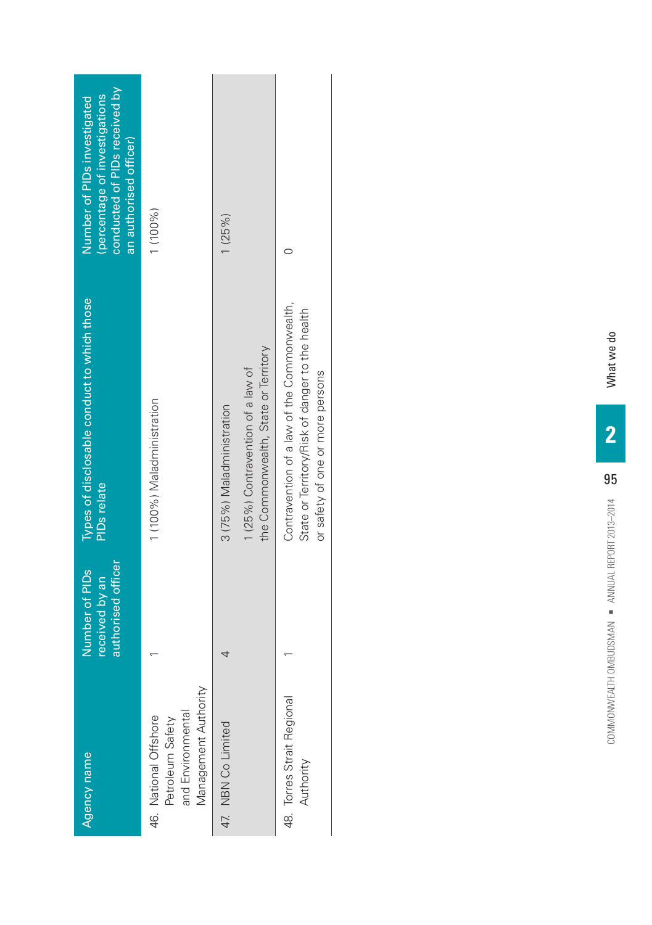| Agency name                                                                            | authorised officer<br>Number of PIDs<br>received by an | Types of disclosable conduct to which those<br>PID <sub>s</sub> relate                                                             | conducted of PIDs received by<br>(percentage of investigations<br>Number of PIDs investigated<br>an authorised officer) |
|----------------------------------------------------------------------------------------|--------------------------------------------------------|------------------------------------------------------------------------------------------------------------------------------------|-------------------------------------------------------------------------------------------------------------------------|
| Management Authority<br>and Environmental<br>46. National Offshore<br>Petroleum Safety |                                                        | 1 (100%) Maladministration                                                                                                         | 1 (100%)                                                                                                                |
| 47. NBN Co Limited                                                                     | 4                                                      | the Commonwealth, State or Territory<br>1 (25%) Contravention of a law of<br>3 (75%) Maladministration                             | 1(25%)                                                                                                                  |
| 48. Torres Strait Regional<br>Authority                                                |                                                        | Contravention of a law of the Commonwealth,<br>State or Territory/Risk of danger to the health<br>or safety of one or more persons |                                                                                                                         |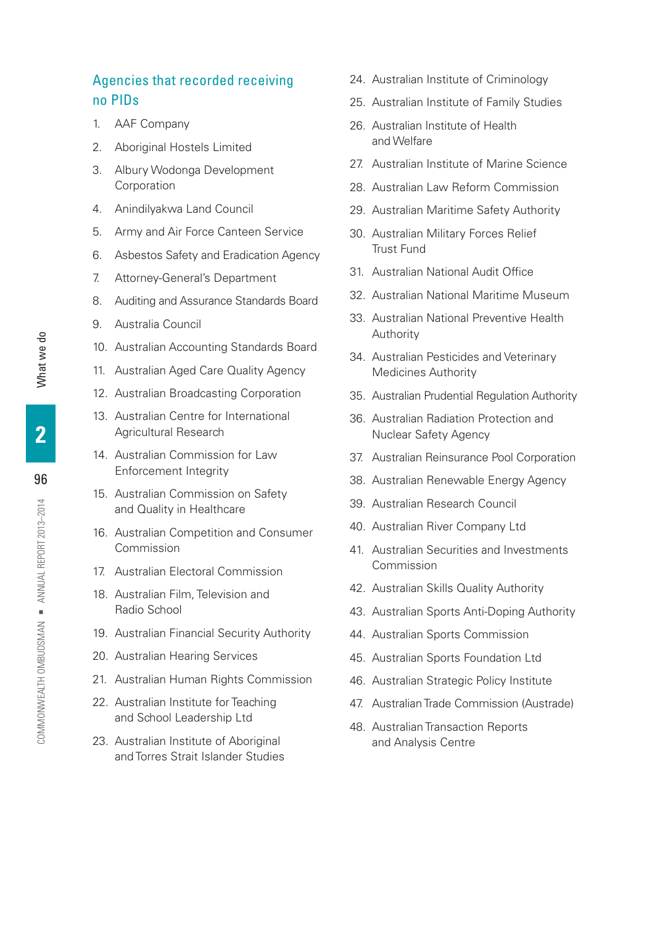# Agencies that recorded receiving no PIDs

- 1. AAF Company
- 2. Aboriginal Hostels Limited
- 3. Albury Wodonga Development Corporation
- 4. Anindilyakwa Land Council
- 5. Army and Air Force Canteen Service
- 6. Asbestos Safety and Eradication Agency
- 7. Attorney-General's Department
- 8. Auditing and Assurance Standards Board
- 9. Australia Council
- 10. Australian Accounting Standards Board
- 11. Australian Aged Care Quality Agency
- 12. Australian Broadcasting Corporation
- 13. Australian Centre for International Agricultural Research
- 14. Australian Commission for Law Enforcement Integrity
- 15. Australian Commission on Safety and Quality in Healthcare
- 16. Australian Competition and Consumer Commission
- 17. Australian Electoral Commission
- 18. Australian Film, Television and Radio School
- 19. Australian Financial Security Authority
- 20. Australian Hearing Services
- 21. Australian Human Rights Commission
- 22. Australian Institute for Teaching and School Leadership Ltd
- 23. Australian Institute of Aboriginal and Torres Strait Islander Studies
- 24. Australian Institute of Criminology
- 25. Australian Institute of Family Studies
- 26. Australian Institute of Health and Welfare
- 27. Australian Institute of Marine Science
- 28. Australian Law Reform Commission
- 29. Australian Maritime Safety Authority
- 30. Australian Military Forces Relief Trust Fund
- 31. Australian National Audit Office
- 32. Australian National Maritime Museum
- 33. Australian National Preventive Health Authority
- 34. Australian Pesticides and Veterinary Medicines Authority
- 35. Australian Prudential Regulation Authority
- 36. Australian Radiation Protection and Nuclear Safety Agency
- 37. Australian Reinsurance Pool Corporation
- 38. Australian Renewable Energy Agency
- 39. Australian Research Council
- 40. Australian River Company Ltd
- 41. Australian Securities and Investments Commission
- 42. Australian Skills Quality Authority
- 43. Australian Sports Anti-Doping Authority
- 44. Australian Sports Commission
- 45. Australian Sports Foundation Ltd
- 46. Australian Strategic Policy Institute
- 47. Australian Trade Commission (Austrade)
- 48. Australian Transaction Reports and Analysis Centre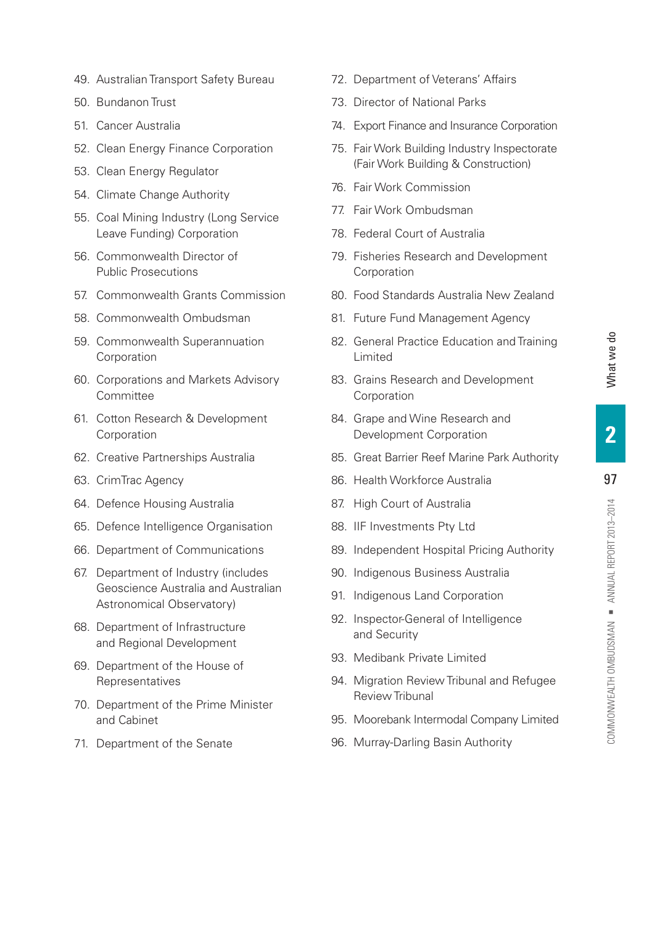- 49. Australian Transport Safety Bureau
- 50. Bundanon Trust
- 51. Cancer Australia
- 52. Clean Energy Finance Corporation
- 53. Clean Energy Regulator
- 54. Climate Change Authority
- 55. Coal Mining Industry (Long Service Leave Funding) Corporation
- 56. Commonwealth Director of Public Prosecutions
- 57. Commonwealth Grants Commission
- 58. Commonwealth Ombudsman
- 59. Commonwealth Superannuation Corporation
- 60. Corporations and Markets Advisory Committee
- 61. Cotton Research & Development **Corporation**
- 62. Creative Partnerships Australia
- 63. CrimTrac Agency
- 64. Defence Housing Australia
- 65. Defence Intelligence Organisation
- 66. Department of Communications
- 67. Department of Industry (includes Geoscience Australia and Australian Astronomical Observatory)
- 68. Department of Infrastructure and Regional Development
- 69. Department of the House of Representatives
- 70. Department of the Prime Minister and Cabinet
- 71. Department of the Senate
- 72. Department of Veterans' Affairs
- 73. Director of National Parks
- 74. Export Finance and Insurance Corporation
- 75. Fair Work Building Industry Inspectorate (Fair Work Building & Construction)
- 76. Fair Work Commission
- 77. Fair Work Ombudsman
- 78. Federal Court of Australia
- 79. Fisheries Research and Development Corporation
- 80. Food Standards Australia New Zealand
- 81. Future Fund Management Agency
- 82. General Practice Education and Training Limited
- 83. Grains Research and Development Corporation
- 84. Grape and Wine Research and Development Corporation
- 85. Great Barrier Reef Marine Park Authority
- 86. Health Workforce Australia
- 87. High Court of Australia
- 88. IIF Investments Pty Ltd
- 89. Independent Hospital Pricing Authority
- 90. Indigenous Business Australia
- 91. Indigenous Land Corporation
- 92. Inspector-General of Intelligence and Security
- 93. Medibank Private Limited
- 94. Migration Review Tribunal and Refugee Review Tribunal
- 95. Moorebank Intermodal Company Limited
- 96. Murray-Darling Basin Authority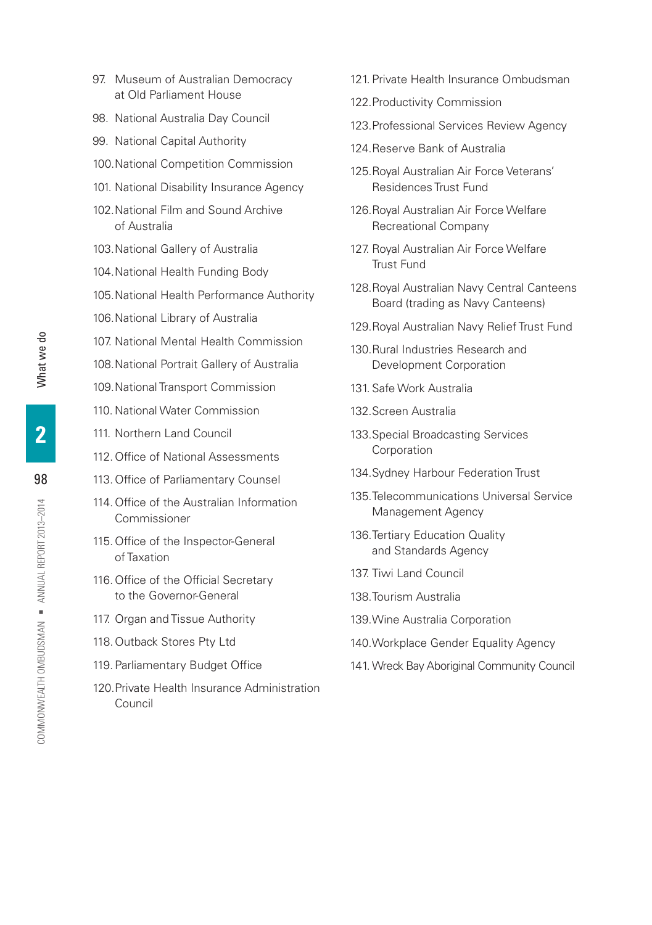- 97. Museum of Australian Democracy at Old Parliament House
- 98. National Australia Day Council
- 99. National Capital Authority
- 100.National Competition Commission
- 101. National Disability Insurance Agency
- 102.National Film and Sound Archive of Australia
- 103.National Gallery of Australia
- 104.National Health Funding Body
- 105.National Health Performance Authority
- 106.National Library of Australia
- 107. National Mental Health Commission
- 108.National Portrait Gallery of Australia
- 109.National Transport Commission
- 110. National Water Commission
- 111. Northern Land Council
- 112.Office of National Assessments
- 113.Office of Parliamentary Counsel
- 114.Office of the Australian Information Commissioner
- 115.Office of the Inspector-General of Taxation
- 116.Office of the Official Secretary to the Governor-General
- 117. Organ and Tissue Authority
- 118.Outback Stores Pty Ltd
- 119. Parliamentary Budget Office
- 120.Private Health Insurance Administration Council
- 121. Private Health Insurance Ombudsman
- 122.Productivity Commission
- 123.Professional Services Review Agency
- 124.Reserve Bank of Australia
- 125.Royal Australian Air Force Veterans' Residences Trust Fund
- 126.Royal Australian Air Force Welfare Recreational Company
- 127. Royal Australian Air Force Welfare Trust Fund
- 128.Royal Australian Navy Central Canteens Board (trading as Navy Canteens)
- 129.Royal Australian Navy Relief Trust Fund
- 130.Rural Industries Research and Development Corporation
- 131. Safe Work Australia
- 132.Screen Australia
- 133.Special Broadcasting Services Corporation
- 134.Sydney Harbour Federation Trust
- 135.Telecommunications Universal Service Management Agency
- 136.Tertiary Education Quality and Standards Agency
- 137. Tiwi Land Council
- 138.Tourism Australia
- 139.Wine Australia Corporation
- 140.Workplace Gender Equality Agency
- 141.Wreck Bay Aboriginal Community Council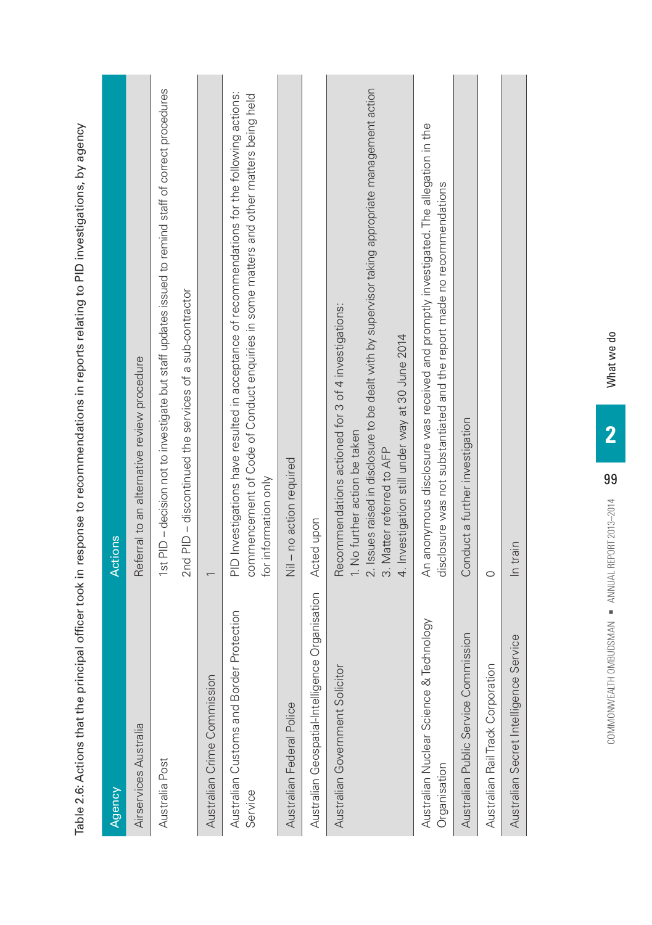|                                                         | respective to the process of the process in the product of the product of the control of the control of the product of the product of the product of the product of the product of the product of the product of the product o                                              |
|---------------------------------------------------------|-----------------------------------------------------------------------------------------------------------------------------------------------------------------------------------------------------------------------------------------------------------------------------|
| Agency                                                  | Actions                                                                                                                                                                                                                                                                     |
| Airservices Australia                                   | Referral to an alternative review procedure                                                                                                                                                                                                                                 |
| Australia Post                                          | 1st PID - decision not to investigate but staff updates issued to remind staff of correct procedures                                                                                                                                                                        |
|                                                         | 2nd PID - discontinued the services of a sub-contractor                                                                                                                                                                                                                     |
| Australian Crime Commission                             |                                                                                                                                                                                                                                                                             |
| Australian Customs and Border Protection<br>Service     | PID Investigations have resulted in acceptance of recommendations for the following actions:<br>commencement of Code of Conduct enquiries in some matters and other matters being held<br>for information only                                                              |
| Australian Federal Police                               | Nil - no action required                                                                                                                                                                                                                                                    |
| Organisation<br>Australian Geospatial-Intelligence      | Acted upon                                                                                                                                                                                                                                                                  |
| Australian Government Solicitor                         | 2. Issues raised in disclosure to be dealt with by supervisor taking appropriate management action<br>Recommendations actioned for 3 of 4 investigations:<br>4. Investigation still under way at 30 June 2014<br>1. No further action be taken<br>3. Matter referred to AFP |
| Australian Nuclear Science & Technology<br>Organisation | An anonymous disclosure was received and promptly investigated. The allegation in the<br>disclosure was not substantiated and the report made no recommendations                                                                                                            |
| Australian Public Service Commission                    | Conduct a further investigation                                                                                                                                                                                                                                             |
| Australian Rail Track Corporation                       | $\circ$                                                                                                                                                                                                                                                                     |
| Australian Secret Intelligence Service                  | In train                                                                                                                                                                                                                                                                    |
|                                                         |                                                                                                                                                                                                                                                                             |

mendations in renorts relation to PID investigations hy agency Table 2.6: Actions that the principal officer took in response to recommendations in reports relating to PID investigations, by agency reennnee to recom Table 2 6: Actions that the principal officer took in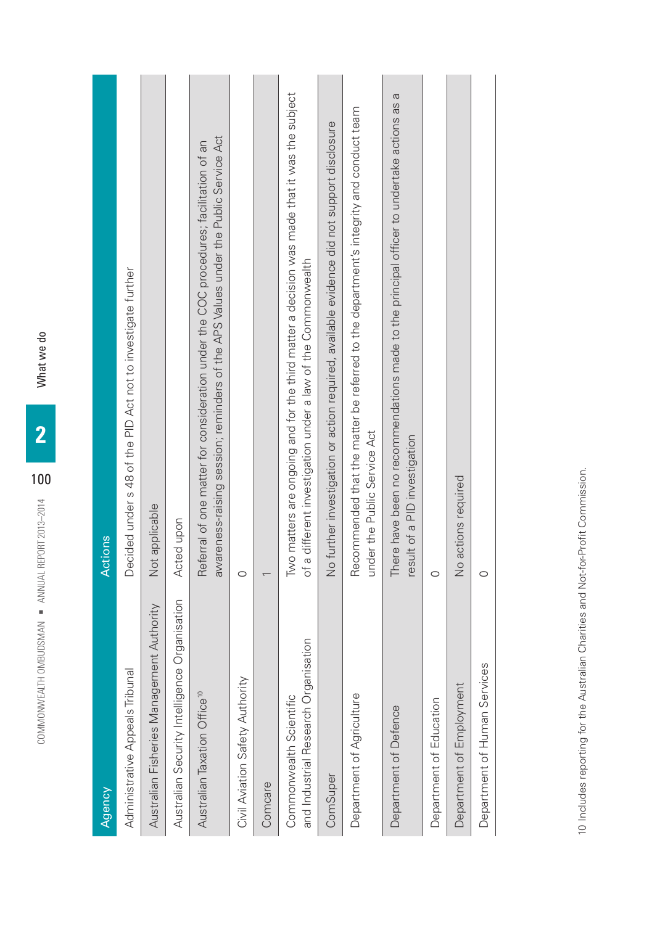| Agency                                                          | <b>Actions</b>                                                                                                                                                               |
|-----------------------------------------------------------------|------------------------------------------------------------------------------------------------------------------------------------------------------------------------------|
| Administrative Appeals Tribunal                                 | Decided under s 48 of the PID Act not to investigate further                                                                                                                 |
| Australian Fisheries Management Authority                       | Not applicable                                                                                                                                                               |
| Organisation<br>Australian Security Intelligence                | Acted upon                                                                                                                                                                   |
| Australian Taxation Office <sup>10</sup>                        | awareness-raising session; reminders of the APS Values under the Public Service Act<br>Referral of one matter for consideration under the COC procedures; facilitation of an |
| Civil Aviation Safety Authority                                 | $\circ$                                                                                                                                                                      |
| Comcare                                                         |                                                                                                                                                                              |
| and Industrial Research Organisation<br>Commonwealth Scientific | Two matters are ongoing and for the third matter a decision was made that it was the subject<br>of a different investigation under a law of the Commonwealth                 |
| ComSuper                                                        | No further investigation or action required, available evidence did not support disclosure                                                                                   |
| Department of Agriculture                                       | Recommended that the matter be referred to the department's integrity and conduct team<br>under the Public Service Act                                                       |
| Department of Defence                                           | σ<br>There have been no recommendations made to the principal officer to undertake actions as<br>result of a PID investigation                                               |
| Department of Education                                         | $\circ$                                                                                                                                                                      |
| Department of Employment                                        | No actions required                                                                                                                                                          |
| Department of Human Services                                    | $\circ$                                                                                                                                                                      |

What we do

100

COMMONWEALTH OMBURSMAN IN THE SEARCH OMBURSMAN IN THE SEARCH OF THE SEARCH OF THE SEARCH SEARCH COMMUNISM COMMUNISM

COMMONWEALTH OMBUDSMAN · ANNUAL REPORT 2013-2014

10 Includes reporting for the Australian Charities and Not-for-Profit Commission. 10 Includes reporting for the Australian Charities and Not-for-Profit Commission.